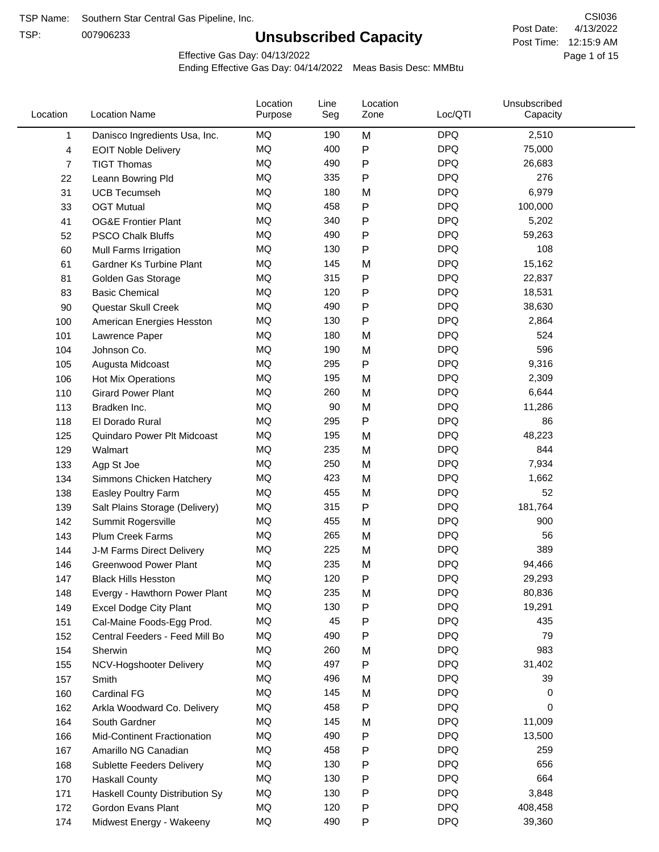TSP:

# **Unsubscribed Capacity**

4/13/2022 Page 1 of 15 Post Time: 12:15:9 AM CSI036 Post Date:

Effective Gas Day: 04/13/2022

| Location | <b>Location Name</b>               | Location<br>Purpose | Line<br>Seg | Location<br>Zone | Loc/QTI    | Unsubscribed<br>Capacity |  |
|----------|------------------------------------|---------------------|-------------|------------------|------------|--------------------------|--|
| 1        | Danisco Ingredients Usa, Inc.      | MQ                  | 190         | M                | <b>DPQ</b> | 2,510                    |  |
| 4        | <b>EOIT Noble Delivery</b>         | MQ                  | 400         | ${\sf P}$        | <b>DPQ</b> | 75,000                   |  |
| 7        | <b>TIGT Thomas</b>                 | <b>MQ</b>           | 490         | ${\sf P}$        | <b>DPQ</b> | 26,683                   |  |
| 22       | Leann Bowring Pld                  | MQ                  | 335         | P                | <b>DPQ</b> | 276                      |  |
| 31       | <b>UCB Tecumseh</b>                | <b>MQ</b>           | 180         | M                | <b>DPQ</b> | 6,979                    |  |
| 33       | <b>OGT Mutual</b>                  | <b>MQ</b>           | 458         | P                | <b>DPQ</b> | 100,000                  |  |
| 41       | <b>OG&amp;E Frontier Plant</b>     | MQ                  | 340         | P                | <b>DPQ</b> | 5,202                    |  |
| 52       | <b>PSCO Chalk Bluffs</b>           | MQ                  | 490         | P                | <b>DPQ</b> | 59,263                   |  |
| 60       | Mull Farms Irrigation              | MQ                  | 130         | P                | <b>DPQ</b> | 108                      |  |
| 61       | Gardner Ks Turbine Plant           | MQ                  | 145         | M                | <b>DPQ</b> | 15,162                   |  |
| 81       | Golden Gas Storage                 | MQ                  | 315         | P                | <b>DPQ</b> | 22,837                   |  |
| 83       | <b>Basic Chemical</b>              | MQ                  | 120         | P                | <b>DPQ</b> | 18,531                   |  |
| 90       | Questar Skull Creek                | MQ                  | 490         | ${\sf P}$        | <b>DPQ</b> | 38,630                   |  |
| 100      | American Energies Hesston          | MQ                  | 130         | P                | <b>DPQ</b> | 2,864                    |  |
| 101      | Lawrence Paper                     | MQ                  | 180         | M                | <b>DPQ</b> | 524                      |  |
| 104      | Johnson Co.                        | MQ                  | 190         | M                | <b>DPQ</b> | 596                      |  |
| 105      | Augusta Midcoast                   | MQ                  | 295         | P                | <b>DPQ</b> | 9,316                    |  |
| 106      | Hot Mix Operations                 | MQ                  | 195         | M                | <b>DPQ</b> | 2,309                    |  |
| 110      | <b>Girard Power Plant</b>          | <b>MQ</b>           | 260         | M                | <b>DPQ</b> | 6,644                    |  |
| 113      | Bradken Inc.                       | MQ                  | 90          | M                | <b>DPQ</b> | 11,286                   |  |
| 118      | El Dorado Rural                    | MQ                  | 295         | P                | <b>DPQ</b> | 86                       |  |
| 125      | Quindaro Power Plt Midcoast        | <b>MQ</b>           | 195         | M                | <b>DPQ</b> | 48,223                   |  |
| 129      | Walmart                            | <b>MQ</b>           | 235         | M                | <b>DPQ</b> | 844                      |  |
| 133      | Agp St Joe                         | MQ                  | 250         | M                | <b>DPQ</b> | 7,934                    |  |
| 134      | Simmons Chicken Hatchery           | MQ                  | 423         | M                | <b>DPQ</b> | 1,662                    |  |
| 138      | Easley Poultry Farm                | MQ                  | 455         | M                | <b>DPQ</b> | 52                       |  |
| 139      | Salt Plains Storage (Delivery)     | MQ                  | 315         | P                | <b>DPQ</b> | 181,764                  |  |
| 142      | Summit Rogersville                 | MQ                  | 455         | M                | <b>DPQ</b> | 900                      |  |
| 143      | <b>Plum Creek Farms</b>            | MQ                  | 265         | M                | <b>DPQ</b> | 56                       |  |
| 144      | J-M Farms Direct Delivery          | MQ                  | 225         | M                | <b>DPQ</b> | 389                      |  |
| 146      | <b>Greenwood Power Plant</b>       | MQ                  | 235         | M                | <b>DPQ</b> | 94,466                   |  |
| 147      | <b>Black Hills Hesston</b>         | MQ                  | 120         | Ρ                | <b>DPQ</b> | 29,293                   |  |
| 148      | Evergy - Hawthorn Power Plant      | МQ                  | 235         | M                | <b>DPQ</b> | 80,836                   |  |
| 149      | <b>Excel Dodge City Plant</b>      | MQ                  | 130         | P                | <b>DPQ</b> | 19,291                   |  |
| 151      | Cal-Maine Foods-Egg Prod.          | MQ                  | 45          | ${\sf P}$        | <b>DPQ</b> | 435                      |  |
| 152      | Central Feeders - Feed Mill Bo     | MQ                  | 490         | P                | <b>DPQ</b> | 79                       |  |
| 154      | Sherwin                            | MQ                  | 260         | M                | <b>DPQ</b> | 983                      |  |
| 155      | NCV-Hogshooter Delivery            | MQ                  | 497         | P                | <b>DPQ</b> | 31,402                   |  |
| 157      | Smith                              | MQ                  | 496         | M                | <b>DPQ</b> | 39                       |  |
| 160      | Cardinal FG                        | MQ                  | 145         | M                | <b>DPQ</b> | 0                        |  |
| 162      | Arkla Woodward Co. Delivery        | MQ                  | 458         | P                | <b>DPQ</b> | 0                        |  |
| 164      | South Gardner                      | MQ                  | 145         | M                | <b>DPQ</b> | 11,009                   |  |
| 166      | <b>Mid-Continent Fractionation</b> | MQ                  | 490         | P                | <b>DPQ</b> | 13,500                   |  |
| 167      | Amarillo NG Canadian               | MQ                  | 458         | P                | <b>DPQ</b> | 259                      |  |
| 168      | <b>Sublette Feeders Delivery</b>   | MQ                  | 130         | P                | <b>DPQ</b> | 656                      |  |
| 170      | <b>Haskall County</b>              | MQ                  | 130         | P                | <b>DPQ</b> | 664                      |  |
| 171      | Haskell County Distribution Sy     | MQ                  | 130         | P                | <b>DPQ</b> | 3,848                    |  |
| 172      | Gordon Evans Plant                 | MQ                  | 120         | P                | <b>DPQ</b> | 408,458                  |  |
| 174      | Midwest Energy - Wakeeny           | MQ                  | 490         | P                | <b>DPQ</b> | 39,360                   |  |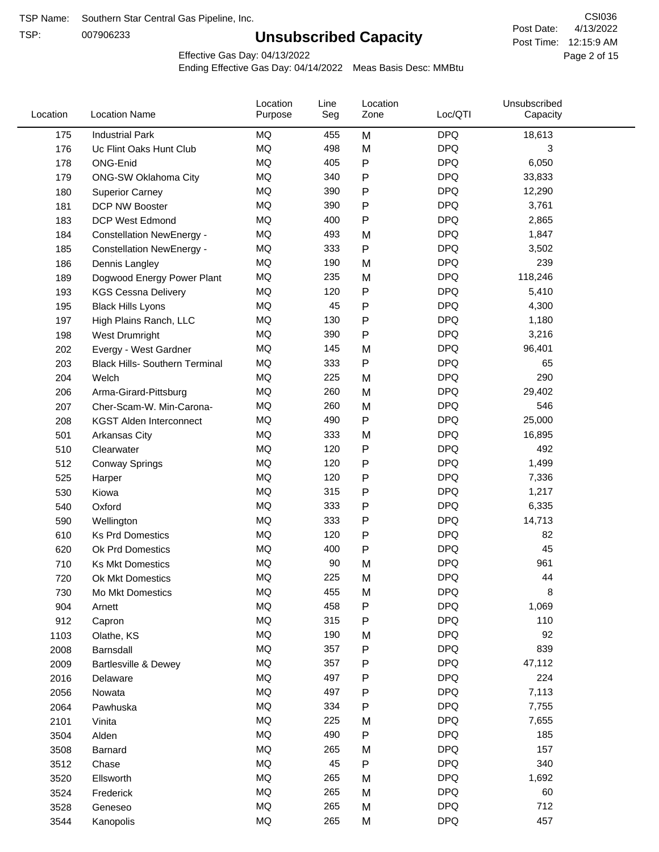TSP:

# **Unsubscribed Capacity**

4/13/2022 Page 2 of 15 Post Time: 12:15:9 AM CSI036 Post Date:

Effective Gas Day: 04/13/2022

| Location | <b>Location Name</b>                  | Location<br>Purpose | Line<br>Seg | Location<br>Zone | Loc/QTI    | Unsubscribed<br>Capacity |  |
|----------|---------------------------------------|---------------------|-------------|------------------|------------|--------------------------|--|
| 175      | <b>Industrial Park</b>                | MQ                  | 455         | M                | <b>DPQ</b> | 18,613                   |  |
| 176      | Uc Flint Oaks Hunt Club               | MQ                  | 498         | M                | <b>DPQ</b> | 3                        |  |
| 178      | ONG-Enid                              | MQ                  | 405         | P                | <b>DPQ</b> | 6,050                    |  |
| 179      | ONG-SW Oklahoma City                  | <b>MQ</b>           | 340         | P                | <b>DPQ</b> | 33,833                   |  |
| 180      | <b>Superior Carney</b>                | MQ                  | 390         | P                | <b>DPQ</b> | 12,290                   |  |
| 181      | DCP NW Booster                        | MQ                  | 390         | P                | <b>DPQ</b> | 3,761                    |  |
| 183      | <b>DCP West Edmond</b>                | MQ                  | 400         | P                | <b>DPQ</b> | 2,865                    |  |
| 184      | <b>Constellation NewEnergy -</b>      | MQ                  | 493         | M                | <b>DPQ</b> | 1,847                    |  |
| 185      | <b>Constellation NewEnergy -</b>      | MQ                  | 333         | P                | <b>DPQ</b> | 3,502                    |  |
| 186      | Dennis Langley                        | <b>MQ</b>           | 190         | M                | <b>DPQ</b> | 239                      |  |
| 189      | Dogwood Energy Power Plant            | <b>MQ</b>           | 235         | M                | <b>DPQ</b> | 118,246                  |  |
| 193      | <b>KGS Cessna Delivery</b>            | <b>MQ</b>           | 120         | P                | <b>DPQ</b> | 5,410                    |  |
| 195      | <b>Black Hills Lyons</b>              | MQ                  | 45          | P                | <b>DPQ</b> | 4,300                    |  |
| 197      | High Plains Ranch, LLC                | MQ                  | 130         | P                | <b>DPQ</b> | 1,180                    |  |
| 198      | West Drumright                        | MQ                  | 390         | P                | <b>DPQ</b> | 3,216                    |  |
| 202      | Evergy - West Gardner                 | MQ                  | 145         | M                | <b>DPQ</b> | 96,401                   |  |
| 203      | <b>Black Hills- Southern Terminal</b> | MQ                  | 333         | P                | <b>DPQ</b> | 65                       |  |
| 204      | Welch                                 | MQ                  | 225         | M                | <b>DPQ</b> | 290                      |  |
| 206      | Arma-Girard-Pittsburg                 | MQ                  | 260         | M                | <b>DPQ</b> | 29,402                   |  |
| 207      | Cher-Scam-W. Min-Carona-              | <b>MQ</b>           | 260         | M                | <b>DPQ</b> | 546                      |  |
| 208      | <b>KGST Alden Interconnect</b>        | <b>MQ</b>           | 490         | P                | <b>DPQ</b> | 25,000                   |  |
| 501      | Arkansas City                         | MQ                  | 333         | M                | <b>DPQ</b> | 16,895                   |  |
| 510      | Clearwater                            | MQ                  | 120         | P                | <b>DPQ</b> | 492                      |  |
| 512      | <b>Conway Springs</b>                 | <b>MQ</b>           | 120         | P                | <b>DPQ</b> | 1,499                    |  |
| 525      | Harper                                | <b>MQ</b>           | 120         | P                | <b>DPQ</b> | 7,336                    |  |
| 530      | Kiowa                                 | MQ                  | 315         | P                | <b>DPQ</b> | 1,217                    |  |
| 540      | Oxford                                | MQ                  | 333         | P                | <b>DPQ</b> | 6,335                    |  |
| 590      | Wellington                            | MQ                  | 333         | P                | <b>DPQ</b> | 14,713                   |  |
| 610      | <b>Ks Prd Domestics</b>               | MQ                  | 120         | P                | <b>DPQ</b> | 82                       |  |
| 620      | Ok Prd Domestics                      | MQ                  | 400         | P                | <b>DPQ</b> | 45                       |  |
| 710      | <b>Ks Mkt Domestics</b>               | MQ                  | 90          | M                | <b>DPQ</b> | 961                      |  |
| 720      | Ok Mkt Domestics                      | MQ                  | 225         | M                | <b>DPQ</b> | 44                       |  |
| 730      | Mo Mkt Domestics                      | MQ                  | 455         | M                | <b>DPQ</b> | 8                        |  |
| 904      | Arnett                                | $\sf{MQ}$           | 458         | P                | <b>DPQ</b> | 1,069                    |  |
| 912      | Capron                                | $\sf{MQ}$           | 315         | P                | <b>DPQ</b> | 110                      |  |
| 1103     | Olathe, KS                            | $\sf{MQ}$           | 190         | M                | <b>DPQ</b> | 92                       |  |
| 2008     | Barnsdall                             | MQ                  | 357         | P                | <b>DPQ</b> | 839                      |  |
| 2009     | Bartlesville & Dewey                  | MQ                  | 357         | P                | <b>DPQ</b> | 47,112                   |  |
| 2016     | Delaware                              | MQ                  | 497         | P                | <b>DPQ</b> | 224                      |  |
| 2056     | Nowata                                | MQ                  | 497         | P                | <b>DPQ</b> | 7,113                    |  |
| 2064     | Pawhuska                              | MQ                  | 334         | P                | <b>DPQ</b> | 7,755                    |  |
| 2101     | Vinita                                | MQ                  | 225         | M                | <b>DPQ</b> | 7,655                    |  |
| 3504     | Alden                                 | $\sf{MQ}$           | 490         | ${\sf P}$        | <b>DPQ</b> | 185                      |  |
| 3508     | Barnard                               | $\sf{MQ}$           | 265         | M                | <b>DPQ</b> | 157                      |  |
| 3512     | Chase                                 | MQ                  | 45          | ${\sf P}$        | <b>DPQ</b> | 340                      |  |
| 3520     | Ellsworth                             | MQ                  | 265         | M                | <b>DPQ</b> | 1,692                    |  |
| 3524     | Frederick                             | MQ                  | 265         | M                | <b>DPQ</b> | 60                       |  |
| 3528     | Geneseo                               | MQ                  | 265         | M                | <b>DPQ</b> | 712                      |  |
| 3544     | Kanopolis                             | $\sf{MQ}$           | 265         | M                | <b>DPQ</b> | 457                      |  |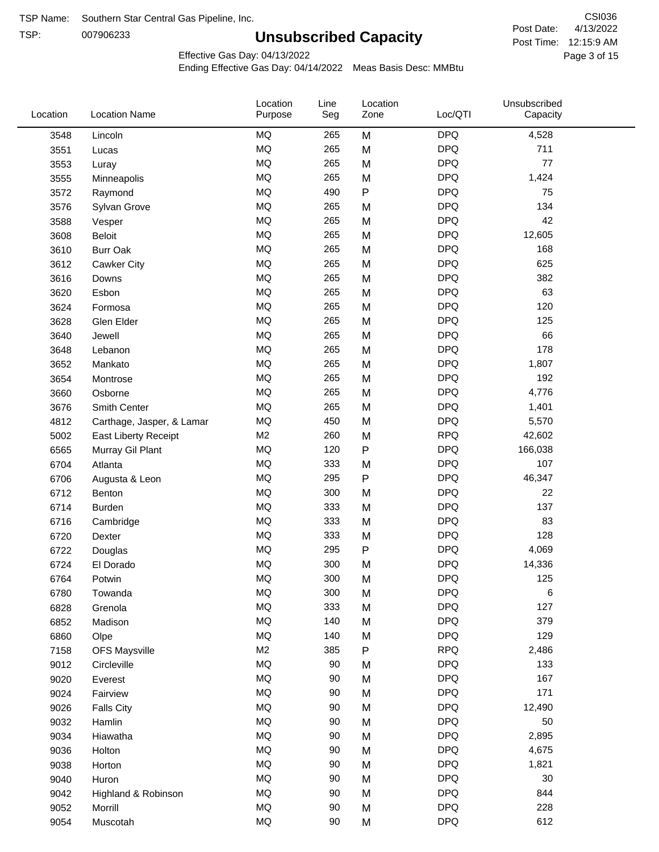TSP: 

# **Unsubscribed Capacity**

4/13/2022 Page 3 of 15 Post Time: 12:15:9 AM CSI036 Post Date:

Effective Gas Day: 04/13/2022

| Location | <b>Location Name</b>      | Location<br>Purpose | Line<br>Seg | Location<br>Zone | Loc/QTI    | Unsubscribed<br>Capacity |  |
|----------|---------------------------|---------------------|-------------|------------------|------------|--------------------------|--|
| 3548     | Lincoln                   | MQ                  | 265         | M                | <b>DPQ</b> | 4,528                    |  |
| 3551     | Lucas                     | $\sf{MQ}$           | 265         | M                | <b>DPQ</b> | 711                      |  |
| 3553     | Luray                     | MQ                  | 265         | M                | <b>DPQ</b> | 77                       |  |
| 3555     | Minneapolis               | MQ                  | 265         | M                | <b>DPQ</b> | 1,424                    |  |
| 3572     | Raymond                   | <b>MQ</b>           | 490         | $\sf P$          | <b>DPQ</b> | 75                       |  |
| 3576     | Sylvan Grove              | MQ                  | 265         | M                | <b>DPQ</b> | 134                      |  |
| 3588     | Vesper                    | MQ                  | 265         | M                | <b>DPQ</b> | 42                       |  |
| 3608     | <b>Beloit</b>             | MQ                  | 265         | M                | <b>DPQ</b> | 12,605                   |  |
| 3610     | <b>Burr Oak</b>           | MQ                  | 265         | M                | <b>DPQ</b> | 168                      |  |
| 3612     | Cawker City               | MQ                  | 265         | M                | <b>DPQ</b> | 625                      |  |
| 3616     | Downs                     | MQ                  | 265         | M                | <b>DPQ</b> | 382                      |  |
| 3620     | Esbon                     | MQ                  | 265         | M                | <b>DPQ</b> | 63                       |  |
| 3624     | Formosa                   | MQ                  | 265         | M                | <b>DPQ</b> | 120                      |  |
| 3628     | Glen Elder                | <b>MQ</b>           | 265         | M                | <b>DPQ</b> | 125                      |  |
| 3640     | Jewell                    | MQ                  | 265         | M                | <b>DPQ</b> | 66                       |  |
| 3648     | Lebanon                   | MQ                  | 265         | M                | <b>DPQ</b> | 178                      |  |
| 3652     | Mankato                   | MQ                  | 265         | M                | <b>DPQ</b> | 1,807                    |  |
| 3654     | Montrose                  | <b>MQ</b>           | 265         | M                | <b>DPQ</b> | 192                      |  |
| 3660     | Osborne                   | <b>MQ</b>           | 265         | M                | <b>DPQ</b> | 4,776                    |  |
| 3676     | Smith Center              | MQ                  | 265         | M                | <b>DPQ</b> | 1,401                    |  |
| 4812     | Carthage, Jasper, & Lamar | MQ                  | 450         | M                | <b>DPQ</b> | 5,570                    |  |
| 5002     | East Liberty Receipt      | M <sub>2</sub>      | 260         | M                | <b>RPQ</b> | 42,602                   |  |
| 6565     | Murray Gil Plant          | MQ                  | 120         | $\mathsf{P}$     | <b>DPQ</b> | 166,038                  |  |
| 6704     | Atlanta                   | MQ                  | 333         | M                | <b>DPQ</b> | 107                      |  |
| 6706     | Augusta & Leon            | MQ                  | 295         | ${\sf P}$        | <b>DPQ</b> | 46,347                   |  |
| 6712     | Benton                    | MQ                  | 300         | M                | <b>DPQ</b> | 22                       |  |
| 6714     | <b>Burden</b>             | <b>MQ</b>           | 333         | M                | <b>DPQ</b> | 137                      |  |
| 6716     | Cambridge                 | MQ                  | 333         | M                | <b>DPQ</b> | 83                       |  |
| 6720     | Dexter                    | MQ                  | 333         | M                | <b>DPQ</b> | 128                      |  |
| 6722     | Douglas                   | $\sf{MQ}$           | 295         | P                | <b>DPQ</b> | 4,069                    |  |
| 6724     | El Dorado                 | <b>MQ</b>           | 300         | M                | <b>DPQ</b> | 14,336                   |  |
| 6764     | Potwin                    | $\sf{MQ}$           | 300         | M                | <b>DPQ</b> | 125                      |  |
| 6780     | Towanda                   | MQ                  | 300         | M                | <b>DPQ</b> | 6                        |  |
| 6828     | Grenola                   | MQ                  | 333         | M                | <b>DPQ</b> | 127                      |  |
| 6852     | Madison                   | MQ                  | 140         | M                | <b>DPQ</b> | 379                      |  |
| 6860     | Olpe                      | MQ                  | 140         | M                | <b>DPQ</b> | 129                      |  |
| 7158     | <b>OFS Maysville</b>      | M <sub>2</sub>      | 385         | ${\sf P}$        | <b>RPQ</b> | 2,486                    |  |
| 9012     | Circleville               | MQ                  | 90          | M                | <b>DPQ</b> | 133                      |  |
| 9020     | Everest                   | $\sf{MQ}$           | 90          | M                | <b>DPQ</b> | 167                      |  |
| 9024     | Fairview                  | MQ                  | 90          | M                | <b>DPQ</b> | 171                      |  |
| 9026     | <b>Falls City</b>         | MQ                  | 90          | M                | <b>DPQ</b> | 12,490                   |  |
| 9032     | Hamlin                    | MQ                  | 90          | M                | <b>DPQ</b> | 50                       |  |
| 9034     | Hiawatha                  | MQ                  | 90          | M                | <b>DPQ</b> | 2,895                    |  |
| 9036     | Holton                    | MQ                  | 90          | M                | <b>DPQ</b> | 4,675                    |  |
| 9038     | Horton                    | MQ                  | 90          | M                | <b>DPQ</b> | 1,821                    |  |
| 9040     | Huron                     | MQ                  | 90          | M                | <b>DPQ</b> | 30                       |  |
| 9042     | Highland & Robinson       | MQ                  | 90          | M                | <b>DPQ</b> | 844                      |  |
| 9052     | Morrill                   | $\sf{MQ}$           | 90          | M                | <b>DPQ</b> | 228                      |  |
| 9054     | Muscotah                  | $\sf{MQ}$           | 90          | M                | <b>DPQ</b> | 612                      |  |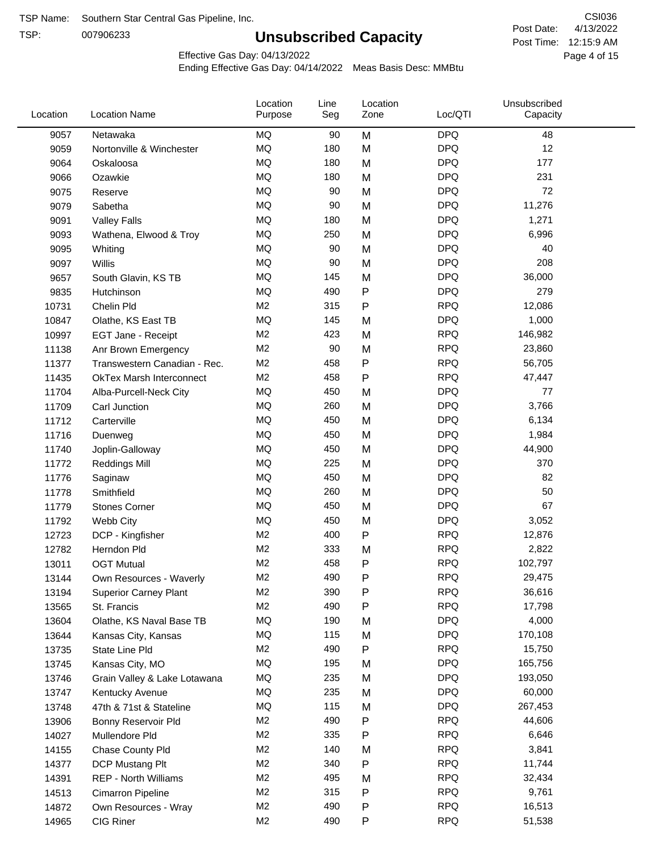TSP:

# **Unsubscribed Capacity**

4/13/2022 Page 4 of 15 Post Time: 12:15:9 AM CSI036 Post Date:

Effective Gas Day: 04/13/2022

| <b>MQ</b><br><b>DPQ</b><br>9057<br>Netawaka<br>90<br>M<br>48<br>MQ<br><b>DPQ</b><br>12<br>180<br>M<br>9059<br>Nortonville & Winchester<br><b>MQ</b><br><b>DPQ</b><br>180<br>M<br>177<br>9064<br>Oskaloosa<br><b>MQ</b><br><b>DPQ</b><br>231<br>180<br>9066<br>M<br>Ozawkie<br><b>MQ</b><br><b>DPQ</b><br>72<br>90<br>M<br>9075<br>Reserve<br><b>MQ</b><br><b>DPQ</b><br>90<br>11,276<br>Sabetha<br>M<br>9079<br>MQ<br><b>DPQ</b><br>1,271<br>180<br>M<br>9091<br><b>Valley Falls</b><br><b>MQ</b><br><b>DPQ</b><br>250<br>6,996<br>M<br>9093<br>Wathena, Elwood & Troy<br><b>DPQ</b><br>MQ<br>90<br>M<br>40<br>9095<br>Whiting<br><b>MQ</b><br><b>DPQ</b><br>208<br>90<br>M<br>9097<br>Willis<br><b>MQ</b><br><b>DPQ</b><br>36,000<br>145<br>M<br>9657<br>South Glavin, KS TB<br>P<br><b>DPQ</b><br>MQ<br>490<br>279<br>9835<br>Hutchinson<br>M <sub>2</sub><br><b>RPQ</b><br>12,086<br>315<br>P<br>Chelin Pld<br>10731<br><b>MQ</b><br><b>DPQ</b><br>145<br>1,000<br>10847<br>M<br>Olathe, KS East TB<br>M <sub>2</sub><br><b>RPQ</b><br>423<br>146,982<br>M<br>10997<br>EGT Jane - Receipt<br>M <sub>2</sub><br><b>RPQ</b><br>90<br>M<br>23,860<br>11138<br>Anr Brown Emergency<br><b>RPQ</b><br>M <sub>2</sub><br>458<br>P<br>56,705<br>11377<br>Transwestern Canadian - Rec.<br><b>RPQ</b><br>M <sub>2</sub><br>458<br>Ρ<br>47,447<br>11435<br><b>OkTex Marsh Interconnect</b><br><b>MQ</b><br><b>DPQ</b><br>450<br>77<br>11704<br>Alba-Purcell-Neck City<br>M<br><b>MQ</b><br><b>DPQ</b><br>260<br>M<br>3,766<br>11709<br>Carl Junction<br><b>MQ</b><br><b>DPQ</b><br>450<br>6,134<br>M<br>11712<br>Carterville<br><b>MQ</b><br><b>DPQ</b><br>450<br>M<br>1,984<br>11716<br>Duenweg<br><b>MQ</b><br><b>DPQ</b><br>450<br>M<br>44,900<br>11740<br>Joplin-Galloway<br><b>MQ</b><br><b>DPQ</b><br>225<br>370<br>M<br>11772<br><b>Reddings Mill</b><br><b>MQ</b><br><b>DPQ</b><br>450<br>M<br>82<br>11776<br>Saginaw<br><b>MQ</b><br><b>DPQ</b><br>50<br>260<br>M<br>11778<br>Smithfield<br><b>MQ</b><br><b>DPQ</b><br>67<br>450<br>M<br>11779<br><b>Stones Corner</b><br><b>MQ</b><br><b>DPQ</b><br>450<br>3,052<br>11792<br>Webb City<br>M<br>M <sub>2</sub><br>P<br><b>RPQ</b><br>400<br>12,876<br>12723<br>DCP - Kingfisher<br>M <sub>2</sub><br><b>RPQ</b><br>333<br>2,822<br>M<br>12782<br>Herndon Pld<br>M <sub>2</sub><br>458<br>Ρ<br><b>RPQ</b><br>102,797<br>13011<br><b>OGT Mutual</b><br><b>RPQ</b><br>490<br>P<br>M <sub>2</sub><br>29,475<br>13144<br>Own Resources - Waverly<br>M <sub>2</sub><br>390<br>Ρ<br><b>RPQ</b><br>36,616<br><b>Superior Carney Plant</b><br>13194<br><b>RPQ</b><br>M <sub>2</sub><br>490<br>Ρ<br>17,798<br>13565<br>St. Francis<br>MQ<br><b>DPQ</b><br>4,000<br>190<br>M<br>13604<br>Olathe, KS Naval Base TB<br>MQ<br>115<br><b>DPQ</b><br>170,108<br>13644<br>M<br>Kansas City, Kansas<br><b>RPQ</b><br>M <sub>2</sub><br>490<br>Ρ<br>15,750<br>13735<br>State Line Pld<br>MQ<br><b>DPQ</b><br>195<br>165,756<br>M<br>13745<br>Kansas City, MO<br>MQ<br>235<br><b>DPQ</b><br>193,050<br>13746<br>M<br>Grain Valley & Lake Lotawana<br>MQ<br>235<br><b>DPQ</b><br>60,000<br>13747<br>Kentucky Avenue<br>M<br>MQ<br>115<br><b>DPQ</b><br>267,453<br>13748<br>47th & 71st & Stateline<br>M<br><b>RPQ</b><br>M <sub>2</sub><br>490<br>Ρ<br>44,606<br>13906<br>Bonny Reservoir Pld<br>M <sub>2</sub><br>335<br><b>RPQ</b><br>6,646<br>Ρ<br>14027<br>Mullendore Pld<br>M <sub>2</sub><br>140<br><b>RPQ</b><br>3,841<br>M<br>14155<br>Chase County Pld<br>M <sub>2</sub><br>340<br><b>RPQ</b><br>11,744<br>Ρ<br>14377<br>DCP Mustang Plt<br>M <sub>2</sub><br>495<br><b>RPQ</b><br>32,434<br>14391<br><b>REP - North Williams</b><br>M<br><b>RPQ</b><br>M <sub>2</sub><br>315<br>9,761<br>Ρ<br>14513<br>Cimarron Pipeline<br>M <sub>2</sub><br>490<br>Ρ<br><b>RPQ</b><br>16,513<br>14872<br>Own Resources - Wray<br>M <sub>2</sub><br><b>RPQ</b><br>CIG Riner<br>490<br>P<br>51,538<br>14965 | Location | <b>Location Name</b> | Location<br>Purpose | Line<br>Seg | Location<br>Zone | Loc/QTI | Unsubscribed<br>Capacity |  |
|-----------------------------------------------------------------------------------------------------------------------------------------------------------------------------------------------------------------------------------------------------------------------------------------------------------------------------------------------------------------------------------------------------------------------------------------------------------------------------------------------------------------------------------------------------------------------------------------------------------------------------------------------------------------------------------------------------------------------------------------------------------------------------------------------------------------------------------------------------------------------------------------------------------------------------------------------------------------------------------------------------------------------------------------------------------------------------------------------------------------------------------------------------------------------------------------------------------------------------------------------------------------------------------------------------------------------------------------------------------------------------------------------------------------------------------------------------------------------------------------------------------------------------------------------------------------------------------------------------------------------------------------------------------------------------------------------------------------------------------------------------------------------------------------------------------------------------------------------------------------------------------------------------------------------------------------------------------------------------------------------------------------------------------------------------------------------------------------------------------------------------------------------------------------------------------------------------------------------------------------------------------------------------------------------------------------------------------------------------------------------------------------------------------------------------------------------------------------------------------------------------------------------------------------------------------------------------------------------------------------------------------------------------------------------------------------------------------------------------------------------------------------------------------------------------------------------------------------------------------------------------------------------------------------------------------------------------------------------------------------------------------------------------------------------------------------------------------------------------------------------------------------------------------------------------------------------------------------------------------------------------------------------------------------------------------------------------------------------------------------------------------------------------------------------------------------------------------------------------------------------------------------------------------------------------------------------------------------------------------------------------------------------------------------------------------------------------------------------------------------------------------------------------------------------------------------------------------------------------------------------------------------------------------------------------------|----------|----------------------|---------------------|-------------|------------------|---------|--------------------------|--|
|                                                                                                                                                                                                                                                                                                                                                                                                                                                                                                                                                                                                                                                                                                                                                                                                                                                                                                                                                                                                                                                                                                                                                                                                                                                                                                                                                                                                                                                                                                                                                                                                                                                                                                                                                                                                                                                                                                                                                                                                                                                                                                                                                                                                                                                                                                                                                                                                                                                                                                                                                                                                                                                                                                                                                                                                                                                                                                                                                                                                                                                                                                                                                                                                                                                                                                                                                                                                                                                                                                                                                                                                                                                                                                                                                                                                                                                                                                                                   |          |                      |                     |             |                  |         |                          |  |
|                                                                                                                                                                                                                                                                                                                                                                                                                                                                                                                                                                                                                                                                                                                                                                                                                                                                                                                                                                                                                                                                                                                                                                                                                                                                                                                                                                                                                                                                                                                                                                                                                                                                                                                                                                                                                                                                                                                                                                                                                                                                                                                                                                                                                                                                                                                                                                                                                                                                                                                                                                                                                                                                                                                                                                                                                                                                                                                                                                                                                                                                                                                                                                                                                                                                                                                                                                                                                                                                                                                                                                                                                                                                                                                                                                                                                                                                                                                                   |          |                      |                     |             |                  |         |                          |  |
|                                                                                                                                                                                                                                                                                                                                                                                                                                                                                                                                                                                                                                                                                                                                                                                                                                                                                                                                                                                                                                                                                                                                                                                                                                                                                                                                                                                                                                                                                                                                                                                                                                                                                                                                                                                                                                                                                                                                                                                                                                                                                                                                                                                                                                                                                                                                                                                                                                                                                                                                                                                                                                                                                                                                                                                                                                                                                                                                                                                                                                                                                                                                                                                                                                                                                                                                                                                                                                                                                                                                                                                                                                                                                                                                                                                                                                                                                                                                   |          |                      |                     |             |                  |         |                          |  |
|                                                                                                                                                                                                                                                                                                                                                                                                                                                                                                                                                                                                                                                                                                                                                                                                                                                                                                                                                                                                                                                                                                                                                                                                                                                                                                                                                                                                                                                                                                                                                                                                                                                                                                                                                                                                                                                                                                                                                                                                                                                                                                                                                                                                                                                                                                                                                                                                                                                                                                                                                                                                                                                                                                                                                                                                                                                                                                                                                                                                                                                                                                                                                                                                                                                                                                                                                                                                                                                                                                                                                                                                                                                                                                                                                                                                                                                                                                                                   |          |                      |                     |             |                  |         |                          |  |
|                                                                                                                                                                                                                                                                                                                                                                                                                                                                                                                                                                                                                                                                                                                                                                                                                                                                                                                                                                                                                                                                                                                                                                                                                                                                                                                                                                                                                                                                                                                                                                                                                                                                                                                                                                                                                                                                                                                                                                                                                                                                                                                                                                                                                                                                                                                                                                                                                                                                                                                                                                                                                                                                                                                                                                                                                                                                                                                                                                                                                                                                                                                                                                                                                                                                                                                                                                                                                                                                                                                                                                                                                                                                                                                                                                                                                                                                                                                                   |          |                      |                     |             |                  |         |                          |  |
|                                                                                                                                                                                                                                                                                                                                                                                                                                                                                                                                                                                                                                                                                                                                                                                                                                                                                                                                                                                                                                                                                                                                                                                                                                                                                                                                                                                                                                                                                                                                                                                                                                                                                                                                                                                                                                                                                                                                                                                                                                                                                                                                                                                                                                                                                                                                                                                                                                                                                                                                                                                                                                                                                                                                                                                                                                                                                                                                                                                                                                                                                                                                                                                                                                                                                                                                                                                                                                                                                                                                                                                                                                                                                                                                                                                                                                                                                                                                   |          |                      |                     |             |                  |         |                          |  |
|                                                                                                                                                                                                                                                                                                                                                                                                                                                                                                                                                                                                                                                                                                                                                                                                                                                                                                                                                                                                                                                                                                                                                                                                                                                                                                                                                                                                                                                                                                                                                                                                                                                                                                                                                                                                                                                                                                                                                                                                                                                                                                                                                                                                                                                                                                                                                                                                                                                                                                                                                                                                                                                                                                                                                                                                                                                                                                                                                                                                                                                                                                                                                                                                                                                                                                                                                                                                                                                                                                                                                                                                                                                                                                                                                                                                                                                                                                                                   |          |                      |                     |             |                  |         |                          |  |
|                                                                                                                                                                                                                                                                                                                                                                                                                                                                                                                                                                                                                                                                                                                                                                                                                                                                                                                                                                                                                                                                                                                                                                                                                                                                                                                                                                                                                                                                                                                                                                                                                                                                                                                                                                                                                                                                                                                                                                                                                                                                                                                                                                                                                                                                                                                                                                                                                                                                                                                                                                                                                                                                                                                                                                                                                                                                                                                                                                                                                                                                                                                                                                                                                                                                                                                                                                                                                                                                                                                                                                                                                                                                                                                                                                                                                                                                                                                                   |          |                      |                     |             |                  |         |                          |  |
|                                                                                                                                                                                                                                                                                                                                                                                                                                                                                                                                                                                                                                                                                                                                                                                                                                                                                                                                                                                                                                                                                                                                                                                                                                                                                                                                                                                                                                                                                                                                                                                                                                                                                                                                                                                                                                                                                                                                                                                                                                                                                                                                                                                                                                                                                                                                                                                                                                                                                                                                                                                                                                                                                                                                                                                                                                                                                                                                                                                                                                                                                                                                                                                                                                                                                                                                                                                                                                                                                                                                                                                                                                                                                                                                                                                                                                                                                                                                   |          |                      |                     |             |                  |         |                          |  |
|                                                                                                                                                                                                                                                                                                                                                                                                                                                                                                                                                                                                                                                                                                                                                                                                                                                                                                                                                                                                                                                                                                                                                                                                                                                                                                                                                                                                                                                                                                                                                                                                                                                                                                                                                                                                                                                                                                                                                                                                                                                                                                                                                                                                                                                                                                                                                                                                                                                                                                                                                                                                                                                                                                                                                                                                                                                                                                                                                                                                                                                                                                                                                                                                                                                                                                                                                                                                                                                                                                                                                                                                                                                                                                                                                                                                                                                                                                                                   |          |                      |                     |             |                  |         |                          |  |
|                                                                                                                                                                                                                                                                                                                                                                                                                                                                                                                                                                                                                                                                                                                                                                                                                                                                                                                                                                                                                                                                                                                                                                                                                                                                                                                                                                                                                                                                                                                                                                                                                                                                                                                                                                                                                                                                                                                                                                                                                                                                                                                                                                                                                                                                                                                                                                                                                                                                                                                                                                                                                                                                                                                                                                                                                                                                                                                                                                                                                                                                                                                                                                                                                                                                                                                                                                                                                                                                                                                                                                                                                                                                                                                                                                                                                                                                                                                                   |          |                      |                     |             |                  |         |                          |  |
|                                                                                                                                                                                                                                                                                                                                                                                                                                                                                                                                                                                                                                                                                                                                                                                                                                                                                                                                                                                                                                                                                                                                                                                                                                                                                                                                                                                                                                                                                                                                                                                                                                                                                                                                                                                                                                                                                                                                                                                                                                                                                                                                                                                                                                                                                                                                                                                                                                                                                                                                                                                                                                                                                                                                                                                                                                                                                                                                                                                                                                                                                                                                                                                                                                                                                                                                                                                                                                                                                                                                                                                                                                                                                                                                                                                                                                                                                                                                   |          |                      |                     |             |                  |         |                          |  |
|                                                                                                                                                                                                                                                                                                                                                                                                                                                                                                                                                                                                                                                                                                                                                                                                                                                                                                                                                                                                                                                                                                                                                                                                                                                                                                                                                                                                                                                                                                                                                                                                                                                                                                                                                                                                                                                                                                                                                                                                                                                                                                                                                                                                                                                                                                                                                                                                                                                                                                                                                                                                                                                                                                                                                                                                                                                                                                                                                                                                                                                                                                                                                                                                                                                                                                                                                                                                                                                                                                                                                                                                                                                                                                                                                                                                                                                                                                                                   |          |                      |                     |             |                  |         |                          |  |
|                                                                                                                                                                                                                                                                                                                                                                                                                                                                                                                                                                                                                                                                                                                                                                                                                                                                                                                                                                                                                                                                                                                                                                                                                                                                                                                                                                                                                                                                                                                                                                                                                                                                                                                                                                                                                                                                                                                                                                                                                                                                                                                                                                                                                                                                                                                                                                                                                                                                                                                                                                                                                                                                                                                                                                                                                                                                                                                                                                                                                                                                                                                                                                                                                                                                                                                                                                                                                                                                                                                                                                                                                                                                                                                                                                                                                                                                                                                                   |          |                      |                     |             |                  |         |                          |  |
|                                                                                                                                                                                                                                                                                                                                                                                                                                                                                                                                                                                                                                                                                                                                                                                                                                                                                                                                                                                                                                                                                                                                                                                                                                                                                                                                                                                                                                                                                                                                                                                                                                                                                                                                                                                                                                                                                                                                                                                                                                                                                                                                                                                                                                                                                                                                                                                                                                                                                                                                                                                                                                                                                                                                                                                                                                                                                                                                                                                                                                                                                                                                                                                                                                                                                                                                                                                                                                                                                                                                                                                                                                                                                                                                                                                                                                                                                                                                   |          |                      |                     |             |                  |         |                          |  |
|                                                                                                                                                                                                                                                                                                                                                                                                                                                                                                                                                                                                                                                                                                                                                                                                                                                                                                                                                                                                                                                                                                                                                                                                                                                                                                                                                                                                                                                                                                                                                                                                                                                                                                                                                                                                                                                                                                                                                                                                                                                                                                                                                                                                                                                                                                                                                                                                                                                                                                                                                                                                                                                                                                                                                                                                                                                                                                                                                                                                                                                                                                                                                                                                                                                                                                                                                                                                                                                                                                                                                                                                                                                                                                                                                                                                                                                                                                                                   |          |                      |                     |             |                  |         |                          |  |
|                                                                                                                                                                                                                                                                                                                                                                                                                                                                                                                                                                                                                                                                                                                                                                                                                                                                                                                                                                                                                                                                                                                                                                                                                                                                                                                                                                                                                                                                                                                                                                                                                                                                                                                                                                                                                                                                                                                                                                                                                                                                                                                                                                                                                                                                                                                                                                                                                                                                                                                                                                                                                                                                                                                                                                                                                                                                                                                                                                                                                                                                                                                                                                                                                                                                                                                                                                                                                                                                                                                                                                                                                                                                                                                                                                                                                                                                                                                                   |          |                      |                     |             |                  |         |                          |  |
|                                                                                                                                                                                                                                                                                                                                                                                                                                                                                                                                                                                                                                                                                                                                                                                                                                                                                                                                                                                                                                                                                                                                                                                                                                                                                                                                                                                                                                                                                                                                                                                                                                                                                                                                                                                                                                                                                                                                                                                                                                                                                                                                                                                                                                                                                                                                                                                                                                                                                                                                                                                                                                                                                                                                                                                                                                                                                                                                                                                                                                                                                                                                                                                                                                                                                                                                                                                                                                                                                                                                                                                                                                                                                                                                                                                                                                                                                                                                   |          |                      |                     |             |                  |         |                          |  |
|                                                                                                                                                                                                                                                                                                                                                                                                                                                                                                                                                                                                                                                                                                                                                                                                                                                                                                                                                                                                                                                                                                                                                                                                                                                                                                                                                                                                                                                                                                                                                                                                                                                                                                                                                                                                                                                                                                                                                                                                                                                                                                                                                                                                                                                                                                                                                                                                                                                                                                                                                                                                                                                                                                                                                                                                                                                                                                                                                                                                                                                                                                                                                                                                                                                                                                                                                                                                                                                                                                                                                                                                                                                                                                                                                                                                                                                                                                                                   |          |                      |                     |             |                  |         |                          |  |
|                                                                                                                                                                                                                                                                                                                                                                                                                                                                                                                                                                                                                                                                                                                                                                                                                                                                                                                                                                                                                                                                                                                                                                                                                                                                                                                                                                                                                                                                                                                                                                                                                                                                                                                                                                                                                                                                                                                                                                                                                                                                                                                                                                                                                                                                                                                                                                                                                                                                                                                                                                                                                                                                                                                                                                                                                                                                                                                                                                                                                                                                                                                                                                                                                                                                                                                                                                                                                                                                                                                                                                                                                                                                                                                                                                                                                                                                                                                                   |          |                      |                     |             |                  |         |                          |  |
|                                                                                                                                                                                                                                                                                                                                                                                                                                                                                                                                                                                                                                                                                                                                                                                                                                                                                                                                                                                                                                                                                                                                                                                                                                                                                                                                                                                                                                                                                                                                                                                                                                                                                                                                                                                                                                                                                                                                                                                                                                                                                                                                                                                                                                                                                                                                                                                                                                                                                                                                                                                                                                                                                                                                                                                                                                                                                                                                                                                                                                                                                                                                                                                                                                                                                                                                                                                                                                                                                                                                                                                                                                                                                                                                                                                                                                                                                                                                   |          |                      |                     |             |                  |         |                          |  |
|                                                                                                                                                                                                                                                                                                                                                                                                                                                                                                                                                                                                                                                                                                                                                                                                                                                                                                                                                                                                                                                                                                                                                                                                                                                                                                                                                                                                                                                                                                                                                                                                                                                                                                                                                                                                                                                                                                                                                                                                                                                                                                                                                                                                                                                                                                                                                                                                                                                                                                                                                                                                                                                                                                                                                                                                                                                                                                                                                                                                                                                                                                                                                                                                                                                                                                                                                                                                                                                                                                                                                                                                                                                                                                                                                                                                                                                                                                                                   |          |                      |                     |             |                  |         |                          |  |
|                                                                                                                                                                                                                                                                                                                                                                                                                                                                                                                                                                                                                                                                                                                                                                                                                                                                                                                                                                                                                                                                                                                                                                                                                                                                                                                                                                                                                                                                                                                                                                                                                                                                                                                                                                                                                                                                                                                                                                                                                                                                                                                                                                                                                                                                                                                                                                                                                                                                                                                                                                                                                                                                                                                                                                                                                                                                                                                                                                                                                                                                                                                                                                                                                                                                                                                                                                                                                                                                                                                                                                                                                                                                                                                                                                                                                                                                                                                                   |          |                      |                     |             |                  |         |                          |  |
|                                                                                                                                                                                                                                                                                                                                                                                                                                                                                                                                                                                                                                                                                                                                                                                                                                                                                                                                                                                                                                                                                                                                                                                                                                                                                                                                                                                                                                                                                                                                                                                                                                                                                                                                                                                                                                                                                                                                                                                                                                                                                                                                                                                                                                                                                                                                                                                                                                                                                                                                                                                                                                                                                                                                                                                                                                                                                                                                                                                                                                                                                                                                                                                                                                                                                                                                                                                                                                                                                                                                                                                                                                                                                                                                                                                                                                                                                                                                   |          |                      |                     |             |                  |         |                          |  |
|                                                                                                                                                                                                                                                                                                                                                                                                                                                                                                                                                                                                                                                                                                                                                                                                                                                                                                                                                                                                                                                                                                                                                                                                                                                                                                                                                                                                                                                                                                                                                                                                                                                                                                                                                                                                                                                                                                                                                                                                                                                                                                                                                                                                                                                                                                                                                                                                                                                                                                                                                                                                                                                                                                                                                                                                                                                                                                                                                                                                                                                                                                                                                                                                                                                                                                                                                                                                                                                                                                                                                                                                                                                                                                                                                                                                                                                                                                                                   |          |                      |                     |             |                  |         |                          |  |
|                                                                                                                                                                                                                                                                                                                                                                                                                                                                                                                                                                                                                                                                                                                                                                                                                                                                                                                                                                                                                                                                                                                                                                                                                                                                                                                                                                                                                                                                                                                                                                                                                                                                                                                                                                                                                                                                                                                                                                                                                                                                                                                                                                                                                                                                                                                                                                                                                                                                                                                                                                                                                                                                                                                                                                                                                                                                                                                                                                                                                                                                                                                                                                                                                                                                                                                                                                                                                                                                                                                                                                                                                                                                                                                                                                                                                                                                                                                                   |          |                      |                     |             |                  |         |                          |  |
|                                                                                                                                                                                                                                                                                                                                                                                                                                                                                                                                                                                                                                                                                                                                                                                                                                                                                                                                                                                                                                                                                                                                                                                                                                                                                                                                                                                                                                                                                                                                                                                                                                                                                                                                                                                                                                                                                                                                                                                                                                                                                                                                                                                                                                                                                                                                                                                                                                                                                                                                                                                                                                                                                                                                                                                                                                                                                                                                                                                                                                                                                                                                                                                                                                                                                                                                                                                                                                                                                                                                                                                                                                                                                                                                                                                                                                                                                                                                   |          |                      |                     |             |                  |         |                          |  |
|                                                                                                                                                                                                                                                                                                                                                                                                                                                                                                                                                                                                                                                                                                                                                                                                                                                                                                                                                                                                                                                                                                                                                                                                                                                                                                                                                                                                                                                                                                                                                                                                                                                                                                                                                                                                                                                                                                                                                                                                                                                                                                                                                                                                                                                                                                                                                                                                                                                                                                                                                                                                                                                                                                                                                                                                                                                                                                                                                                                                                                                                                                                                                                                                                                                                                                                                                                                                                                                                                                                                                                                                                                                                                                                                                                                                                                                                                                                                   |          |                      |                     |             |                  |         |                          |  |
|                                                                                                                                                                                                                                                                                                                                                                                                                                                                                                                                                                                                                                                                                                                                                                                                                                                                                                                                                                                                                                                                                                                                                                                                                                                                                                                                                                                                                                                                                                                                                                                                                                                                                                                                                                                                                                                                                                                                                                                                                                                                                                                                                                                                                                                                                                                                                                                                                                                                                                                                                                                                                                                                                                                                                                                                                                                                                                                                                                                                                                                                                                                                                                                                                                                                                                                                                                                                                                                                                                                                                                                                                                                                                                                                                                                                                                                                                                                                   |          |                      |                     |             |                  |         |                          |  |
|                                                                                                                                                                                                                                                                                                                                                                                                                                                                                                                                                                                                                                                                                                                                                                                                                                                                                                                                                                                                                                                                                                                                                                                                                                                                                                                                                                                                                                                                                                                                                                                                                                                                                                                                                                                                                                                                                                                                                                                                                                                                                                                                                                                                                                                                                                                                                                                                                                                                                                                                                                                                                                                                                                                                                                                                                                                                                                                                                                                                                                                                                                                                                                                                                                                                                                                                                                                                                                                                                                                                                                                                                                                                                                                                                                                                                                                                                                                                   |          |                      |                     |             |                  |         |                          |  |
|                                                                                                                                                                                                                                                                                                                                                                                                                                                                                                                                                                                                                                                                                                                                                                                                                                                                                                                                                                                                                                                                                                                                                                                                                                                                                                                                                                                                                                                                                                                                                                                                                                                                                                                                                                                                                                                                                                                                                                                                                                                                                                                                                                                                                                                                                                                                                                                                                                                                                                                                                                                                                                                                                                                                                                                                                                                                                                                                                                                                                                                                                                                                                                                                                                                                                                                                                                                                                                                                                                                                                                                                                                                                                                                                                                                                                                                                                                                                   |          |                      |                     |             |                  |         |                          |  |
|                                                                                                                                                                                                                                                                                                                                                                                                                                                                                                                                                                                                                                                                                                                                                                                                                                                                                                                                                                                                                                                                                                                                                                                                                                                                                                                                                                                                                                                                                                                                                                                                                                                                                                                                                                                                                                                                                                                                                                                                                                                                                                                                                                                                                                                                                                                                                                                                                                                                                                                                                                                                                                                                                                                                                                                                                                                                                                                                                                                                                                                                                                                                                                                                                                                                                                                                                                                                                                                                                                                                                                                                                                                                                                                                                                                                                                                                                                                                   |          |                      |                     |             |                  |         |                          |  |
|                                                                                                                                                                                                                                                                                                                                                                                                                                                                                                                                                                                                                                                                                                                                                                                                                                                                                                                                                                                                                                                                                                                                                                                                                                                                                                                                                                                                                                                                                                                                                                                                                                                                                                                                                                                                                                                                                                                                                                                                                                                                                                                                                                                                                                                                                                                                                                                                                                                                                                                                                                                                                                                                                                                                                                                                                                                                                                                                                                                                                                                                                                                                                                                                                                                                                                                                                                                                                                                                                                                                                                                                                                                                                                                                                                                                                                                                                                                                   |          |                      |                     |             |                  |         |                          |  |
|                                                                                                                                                                                                                                                                                                                                                                                                                                                                                                                                                                                                                                                                                                                                                                                                                                                                                                                                                                                                                                                                                                                                                                                                                                                                                                                                                                                                                                                                                                                                                                                                                                                                                                                                                                                                                                                                                                                                                                                                                                                                                                                                                                                                                                                                                                                                                                                                                                                                                                                                                                                                                                                                                                                                                                                                                                                                                                                                                                                                                                                                                                                                                                                                                                                                                                                                                                                                                                                                                                                                                                                                                                                                                                                                                                                                                                                                                                                                   |          |                      |                     |             |                  |         |                          |  |
|                                                                                                                                                                                                                                                                                                                                                                                                                                                                                                                                                                                                                                                                                                                                                                                                                                                                                                                                                                                                                                                                                                                                                                                                                                                                                                                                                                                                                                                                                                                                                                                                                                                                                                                                                                                                                                                                                                                                                                                                                                                                                                                                                                                                                                                                                                                                                                                                                                                                                                                                                                                                                                                                                                                                                                                                                                                                                                                                                                                                                                                                                                                                                                                                                                                                                                                                                                                                                                                                                                                                                                                                                                                                                                                                                                                                                                                                                                                                   |          |                      |                     |             |                  |         |                          |  |
|                                                                                                                                                                                                                                                                                                                                                                                                                                                                                                                                                                                                                                                                                                                                                                                                                                                                                                                                                                                                                                                                                                                                                                                                                                                                                                                                                                                                                                                                                                                                                                                                                                                                                                                                                                                                                                                                                                                                                                                                                                                                                                                                                                                                                                                                                                                                                                                                                                                                                                                                                                                                                                                                                                                                                                                                                                                                                                                                                                                                                                                                                                                                                                                                                                                                                                                                                                                                                                                                                                                                                                                                                                                                                                                                                                                                                                                                                                                                   |          |                      |                     |             |                  |         |                          |  |
|                                                                                                                                                                                                                                                                                                                                                                                                                                                                                                                                                                                                                                                                                                                                                                                                                                                                                                                                                                                                                                                                                                                                                                                                                                                                                                                                                                                                                                                                                                                                                                                                                                                                                                                                                                                                                                                                                                                                                                                                                                                                                                                                                                                                                                                                                                                                                                                                                                                                                                                                                                                                                                                                                                                                                                                                                                                                                                                                                                                                                                                                                                                                                                                                                                                                                                                                                                                                                                                                                                                                                                                                                                                                                                                                                                                                                                                                                                                                   |          |                      |                     |             |                  |         |                          |  |
|                                                                                                                                                                                                                                                                                                                                                                                                                                                                                                                                                                                                                                                                                                                                                                                                                                                                                                                                                                                                                                                                                                                                                                                                                                                                                                                                                                                                                                                                                                                                                                                                                                                                                                                                                                                                                                                                                                                                                                                                                                                                                                                                                                                                                                                                                                                                                                                                                                                                                                                                                                                                                                                                                                                                                                                                                                                                                                                                                                                                                                                                                                                                                                                                                                                                                                                                                                                                                                                                                                                                                                                                                                                                                                                                                                                                                                                                                                                                   |          |                      |                     |             |                  |         |                          |  |
|                                                                                                                                                                                                                                                                                                                                                                                                                                                                                                                                                                                                                                                                                                                                                                                                                                                                                                                                                                                                                                                                                                                                                                                                                                                                                                                                                                                                                                                                                                                                                                                                                                                                                                                                                                                                                                                                                                                                                                                                                                                                                                                                                                                                                                                                                                                                                                                                                                                                                                                                                                                                                                                                                                                                                                                                                                                                                                                                                                                                                                                                                                                                                                                                                                                                                                                                                                                                                                                                                                                                                                                                                                                                                                                                                                                                                                                                                                                                   |          |                      |                     |             |                  |         |                          |  |
|                                                                                                                                                                                                                                                                                                                                                                                                                                                                                                                                                                                                                                                                                                                                                                                                                                                                                                                                                                                                                                                                                                                                                                                                                                                                                                                                                                                                                                                                                                                                                                                                                                                                                                                                                                                                                                                                                                                                                                                                                                                                                                                                                                                                                                                                                                                                                                                                                                                                                                                                                                                                                                                                                                                                                                                                                                                                                                                                                                                                                                                                                                                                                                                                                                                                                                                                                                                                                                                                                                                                                                                                                                                                                                                                                                                                                                                                                                                                   |          |                      |                     |             |                  |         |                          |  |
|                                                                                                                                                                                                                                                                                                                                                                                                                                                                                                                                                                                                                                                                                                                                                                                                                                                                                                                                                                                                                                                                                                                                                                                                                                                                                                                                                                                                                                                                                                                                                                                                                                                                                                                                                                                                                                                                                                                                                                                                                                                                                                                                                                                                                                                                                                                                                                                                                                                                                                                                                                                                                                                                                                                                                                                                                                                                                                                                                                                                                                                                                                                                                                                                                                                                                                                                                                                                                                                                                                                                                                                                                                                                                                                                                                                                                                                                                                                                   |          |                      |                     |             |                  |         |                          |  |
|                                                                                                                                                                                                                                                                                                                                                                                                                                                                                                                                                                                                                                                                                                                                                                                                                                                                                                                                                                                                                                                                                                                                                                                                                                                                                                                                                                                                                                                                                                                                                                                                                                                                                                                                                                                                                                                                                                                                                                                                                                                                                                                                                                                                                                                                                                                                                                                                                                                                                                                                                                                                                                                                                                                                                                                                                                                                                                                                                                                                                                                                                                                                                                                                                                                                                                                                                                                                                                                                                                                                                                                                                                                                                                                                                                                                                                                                                                                                   |          |                      |                     |             |                  |         |                          |  |
|                                                                                                                                                                                                                                                                                                                                                                                                                                                                                                                                                                                                                                                                                                                                                                                                                                                                                                                                                                                                                                                                                                                                                                                                                                                                                                                                                                                                                                                                                                                                                                                                                                                                                                                                                                                                                                                                                                                                                                                                                                                                                                                                                                                                                                                                                                                                                                                                                                                                                                                                                                                                                                                                                                                                                                                                                                                                                                                                                                                                                                                                                                                                                                                                                                                                                                                                                                                                                                                                                                                                                                                                                                                                                                                                                                                                                                                                                                                                   |          |                      |                     |             |                  |         |                          |  |
|                                                                                                                                                                                                                                                                                                                                                                                                                                                                                                                                                                                                                                                                                                                                                                                                                                                                                                                                                                                                                                                                                                                                                                                                                                                                                                                                                                                                                                                                                                                                                                                                                                                                                                                                                                                                                                                                                                                                                                                                                                                                                                                                                                                                                                                                                                                                                                                                                                                                                                                                                                                                                                                                                                                                                                                                                                                                                                                                                                                                                                                                                                                                                                                                                                                                                                                                                                                                                                                                                                                                                                                                                                                                                                                                                                                                                                                                                                                                   |          |                      |                     |             |                  |         |                          |  |
|                                                                                                                                                                                                                                                                                                                                                                                                                                                                                                                                                                                                                                                                                                                                                                                                                                                                                                                                                                                                                                                                                                                                                                                                                                                                                                                                                                                                                                                                                                                                                                                                                                                                                                                                                                                                                                                                                                                                                                                                                                                                                                                                                                                                                                                                                                                                                                                                                                                                                                                                                                                                                                                                                                                                                                                                                                                                                                                                                                                                                                                                                                                                                                                                                                                                                                                                                                                                                                                                                                                                                                                                                                                                                                                                                                                                                                                                                                                                   |          |                      |                     |             |                  |         |                          |  |
|                                                                                                                                                                                                                                                                                                                                                                                                                                                                                                                                                                                                                                                                                                                                                                                                                                                                                                                                                                                                                                                                                                                                                                                                                                                                                                                                                                                                                                                                                                                                                                                                                                                                                                                                                                                                                                                                                                                                                                                                                                                                                                                                                                                                                                                                                                                                                                                                                                                                                                                                                                                                                                                                                                                                                                                                                                                                                                                                                                                                                                                                                                                                                                                                                                                                                                                                                                                                                                                                                                                                                                                                                                                                                                                                                                                                                                                                                                                                   |          |                      |                     |             |                  |         |                          |  |
|                                                                                                                                                                                                                                                                                                                                                                                                                                                                                                                                                                                                                                                                                                                                                                                                                                                                                                                                                                                                                                                                                                                                                                                                                                                                                                                                                                                                                                                                                                                                                                                                                                                                                                                                                                                                                                                                                                                                                                                                                                                                                                                                                                                                                                                                                                                                                                                                                                                                                                                                                                                                                                                                                                                                                                                                                                                                                                                                                                                                                                                                                                                                                                                                                                                                                                                                                                                                                                                                                                                                                                                                                                                                                                                                                                                                                                                                                                                                   |          |                      |                     |             |                  |         |                          |  |
|                                                                                                                                                                                                                                                                                                                                                                                                                                                                                                                                                                                                                                                                                                                                                                                                                                                                                                                                                                                                                                                                                                                                                                                                                                                                                                                                                                                                                                                                                                                                                                                                                                                                                                                                                                                                                                                                                                                                                                                                                                                                                                                                                                                                                                                                                                                                                                                                                                                                                                                                                                                                                                                                                                                                                                                                                                                                                                                                                                                                                                                                                                                                                                                                                                                                                                                                                                                                                                                                                                                                                                                                                                                                                                                                                                                                                                                                                                                                   |          |                      |                     |             |                  |         |                          |  |
|                                                                                                                                                                                                                                                                                                                                                                                                                                                                                                                                                                                                                                                                                                                                                                                                                                                                                                                                                                                                                                                                                                                                                                                                                                                                                                                                                                                                                                                                                                                                                                                                                                                                                                                                                                                                                                                                                                                                                                                                                                                                                                                                                                                                                                                                                                                                                                                                                                                                                                                                                                                                                                                                                                                                                                                                                                                                                                                                                                                                                                                                                                                                                                                                                                                                                                                                                                                                                                                                                                                                                                                                                                                                                                                                                                                                                                                                                                                                   |          |                      |                     |             |                  |         |                          |  |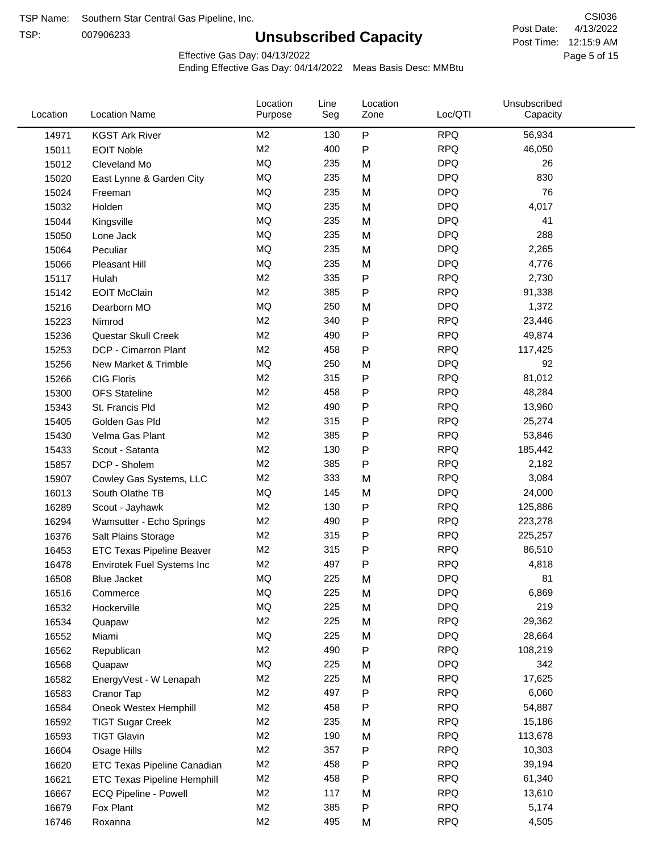TSP:

# **Unsubscribed Capacity**

4/13/2022 Page 5 of 15 Post Time: 12:15:9 AM CSI036 Post Date:

Effective Gas Day: 04/13/2022

| Location | <b>Location Name</b>               | Location<br>Purpose | Line<br>Seg | Location<br>Zone | Loc/QTI    | Unsubscribed<br>Capacity |  |
|----------|------------------------------------|---------------------|-------------|------------------|------------|--------------------------|--|
| 14971    | <b>KGST Ark River</b>              | M <sub>2</sub>      | 130         | P                | <b>RPQ</b> | 56,934                   |  |
| 15011    | <b>EOIT Noble</b>                  | M <sub>2</sub>      | 400         | P                | <b>RPQ</b> | 46,050                   |  |
| 15012    | Cleveland Mo                       | <b>MQ</b>           | 235         | M                | <b>DPQ</b> | 26                       |  |
| 15020    | East Lynne & Garden City           | <b>MQ</b>           | 235         | M                | <b>DPQ</b> | 830                      |  |
| 15024    | Freeman                            | <b>MQ</b>           | 235         | M                | <b>DPQ</b> | 76                       |  |
| 15032    | Holden                             | <b>MQ</b>           | 235         | M                | <b>DPQ</b> | 4,017                    |  |
| 15044    | Kingsville                         | <b>MQ</b>           | 235         | M                | <b>DPQ</b> | 41                       |  |
| 15050    | Lone Jack                          | <b>MQ</b>           | 235         | M                | <b>DPQ</b> | 288                      |  |
| 15064    | Peculiar                           | <b>MQ</b>           | 235         | M                | <b>DPQ</b> | 2,265                    |  |
| 15066    | Pleasant Hill                      | <b>MQ</b>           | 235         | M                | <b>DPQ</b> | 4,776                    |  |
| 15117    | Hulah                              | M <sub>2</sub>      | 335         | P                | <b>RPQ</b> | 2,730                    |  |
| 15142    | <b>EOIT McClain</b>                | M <sub>2</sub>      | 385         | P                | <b>RPQ</b> | 91,338                   |  |
| 15216    | Dearborn MO                        | MQ                  | 250         | M                | <b>DPQ</b> | 1,372                    |  |
| 15223    | Nimrod                             | M <sub>2</sub>      | 340         | P                | <b>RPQ</b> | 23,446                   |  |
| 15236    | Questar Skull Creek                | M <sub>2</sub>      | 490         | P                | <b>RPQ</b> | 49,874                   |  |
| 15253    | DCP - Cimarron Plant               | M <sub>2</sub>      | 458         | P                | <b>RPQ</b> | 117,425                  |  |
| 15256    | New Market & Trimble               | <b>MQ</b>           | 250         | M                | <b>DPQ</b> | 92                       |  |
| 15266    | <b>CIG Floris</b>                  | M <sub>2</sub>      | 315         | P                | <b>RPQ</b> | 81,012                   |  |
| 15300    | <b>OFS</b> Stateline               | M <sub>2</sub>      | 458         | P                | <b>RPQ</b> | 48,284                   |  |
| 15343    | St. Francis Pld                    | M <sub>2</sub>      | 490         | P                | <b>RPQ</b> | 13,960                   |  |
| 15405    | Golden Gas Pld                     | M <sub>2</sub>      | 315         | P                | <b>RPQ</b> | 25,274                   |  |
| 15430    | Velma Gas Plant                    | M <sub>2</sub>      | 385         | P                | <b>RPQ</b> | 53,846                   |  |
| 15433    | Scout - Satanta                    | M <sub>2</sub>      | 130         | P                | <b>RPQ</b> | 185,442                  |  |
| 15857    | DCP - Sholem                       | M <sub>2</sub>      | 385         | P                | <b>RPQ</b> | 2,182                    |  |
| 15907    | Cowley Gas Systems, LLC            | M <sub>2</sub>      | 333         | M                | <b>RPQ</b> | 3,084                    |  |
| 16013    | South Olathe TB                    | MQ                  | 145         | M                | <b>DPQ</b> | 24,000                   |  |
| 16289    | Scout - Jayhawk                    | M <sub>2</sub>      | 130         | P                | <b>RPQ</b> | 125,886                  |  |
| 16294    | Wamsutter - Echo Springs           | M <sub>2</sub>      | 490         | P                | <b>RPQ</b> | 223,278                  |  |
| 16376    | Salt Plains Storage                | M <sub>2</sub>      | 315         | P                | <b>RPQ</b> | 225,257                  |  |
| 16453    | <b>ETC Texas Pipeline Beaver</b>   | M <sub>2</sub>      | 315         | P                | <b>RPQ</b> | 86,510                   |  |
| 16478    | Envirotek Fuel Systems Inc         | M <sub>2</sub>      | 497         | P                | <b>RPQ</b> | 4,818                    |  |
| 16508    | Blue Jacket                        | <b>MQ</b>           | 225         | M                | <b>DPQ</b> | 81                       |  |
| 16516    | Commerce                           | MQ                  | 225         | M                | <b>DPQ</b> | 6,869                    |  |
| 16532    | Hockerville                        | <b>MQ</b>           | 225         | M                | <b>DPQ</b> | 219                      |  |
| 16534    | Quapaw                             | M <sub>2</sub>      | 225         | M                | <b>RPQ</b> | 29,362                   |  |
| 16552    | Miami                              | MQ                  | 225         | M                | <b>DPQ</b> | 28,664                   |  |
| 16562    | Republican                         | M <sub>2</sub>      | 490         | Ρ                | <b>RPQ</b> | 108,219                  |  |
| 16568    | Quapaw                             | MQ                  | 225         | M                | <b>DPQ</b> | 342                      |  |
| 16582    | EnergyVest - W Lenapah             | M <sub>2</sub>      | 225         | M                | <b>RPQ</b> | 17,625                   |  |
| 16583    | Cranor Tap                         | M <sub>2</sub>      | 497         | P                | <b>RPQ</b> | 6,060                    |  |
| 16584    | Oneok Westex Hemphill              | M2                  | 458         | Ρ                | <b>RPQ</b> | 54,887                   |  |
| 16592    | <b>TIGT Sugar Creek</b>            | M <sub>2</sub>      | 235         | M                | <b>RPQ</b> | 15,186                   |  |
| 16593    | <b>TIGT Glavin</b>                 | M <sub>2</sub>      | 190         | M                | <b>RPQ</b> | 113,678                  |  |
| 16604    | Osage Hills                        | M <sub>2</sub>      | 357         | Ρ                | <b>RPQ</b> | 10,303                   |  |
| 16620    | <b>ETC Texas Pipeline Canadian</b> | M <sub>2</sub>      | 458         | P                | <b>RPQ</b> | 39,194                   |  |
| 16621    | <b>ETC Texas Pipeline Hemphill</b> | M <sub>2</sub>      | 458         | Ρ                | <b>RPQ</b> | 61,340                   |  |
| 16667    | ECQ Pipeline - Powell              | M <sub>2</sub>      | 117         | M                | <b>RPQ</b> | 13,610                   |  |
| 16679    | Fox Plant                          | M <sub>2</sub>      | 385         | Ρ                | <b>RPQ</b> | 5,174                    |  |
| 16746    | Roxanna                            | M <sub>2</sub>      | 495         | M                | <b>RPQ</b> | 4,505                    |  |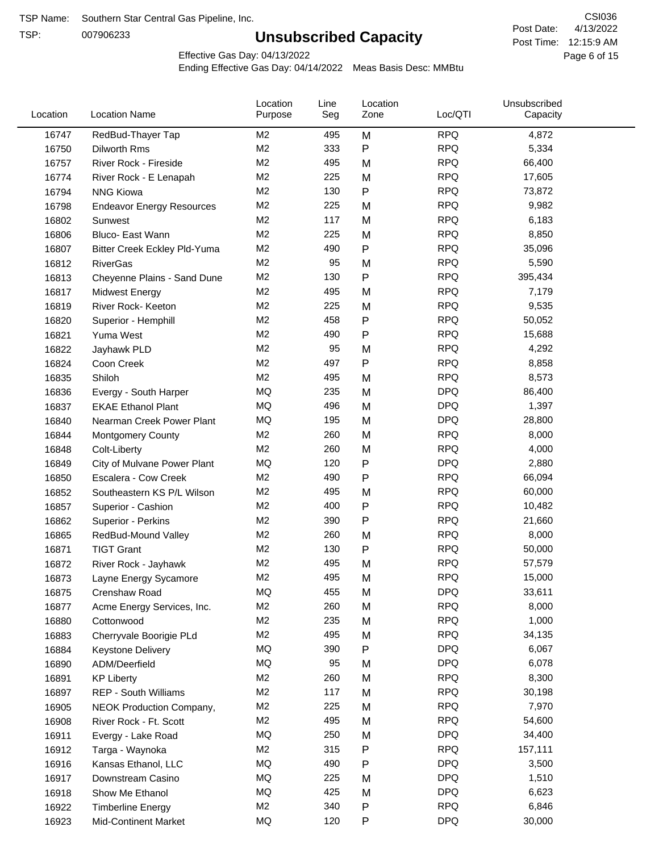TSP:

# **Unsubscribed Capacity**

4/13/2022 Page 6 of 15 Post Time: 12:15:9 AM CSI036 Post Date:

Effective Gas Day: 04/13/2022

| Location | <b>Location Name</b>             | Location<br>Purpose | Line<br>Seg | Location<br>Zone | Loc/QTI    | Unsubscribed<br>Capacity |  |
|----------|----------------------------------|---------------------|-------------|------------------|------------|--------------------------|--|
| 16747    | RedBud-Thayer Tap                | M <sub>2</sub>      | 495         | M                | <b>RPQ</b> | 4,872                    |  |
| 16750    | <b>Dilworth Rms</b>              | M <sub>2</sub>      | 333         | $\mathsf{P}$     | <b>RPQ</b> | 5,334                    |  |
| 16757    | River Rock - Fireside            | M <sub>2</sub>      | 495         | M                | <b>RPQ</b> | 66,400                   |  |
| 16774    | River Rock - E Lenapah           | M <sub>2</sub>      | 225         | M                | <b>RPQ</b> | 17,605                   |  |
| 16794    | <b>NNG Kiowa</b>                 | M <sub>2</sub>      | 130         | $\mathsf{P}$     | <b>RPQ</b> | 73,872                   |  |
| 16798    | <b>Endeavor Energy Resources</b> | M <sub>2</sub>      | 225         | M                | <b>RPQ</b> | 9,982                    |  |
| 16802    | Sunwest                          | M <sub>2</sub>      | 117         | M                | <b>RPQ</b> | 6,183                    |  |
| 16806    | Bluco- East Wann                 | M <sub>2</sub>      | 225         | M                | <b>RPQ</b> | 8,850                    |  |
| 16807    | Bitter Creek Eckley Pld-Yuma     | M <sub>2</sub>      | 490         | $\mathsf{P}$     | <b>RPQ</b> | 35,096                   |  |
| 16812    | <b>RiverGas</b>                  | M <sub>2</sub>      | 95          | M                | <b>RPQ</b> | 5,590                    |  |
| 16813    | Cheyenne Plains - Sand Dune      | M <sub>2</sub>      | 130         | $\mathsf{P}$     | <b>RPQ</b> | 395,434                  |  |
| 16817    | <b>Midwest Energy</b>            | M <sub>2</sub>      | 495         | M                | <b>RPQ</b> | 7,179                    |  |
| 16819    | River Rock- Keeton               | M <sub>2</sub>      | 225         | M                | <b>RPQ</b> | 9,535                    |  |
| 16820    | Superior - Hemphill              | M <sub>2</sub>      | 458         | $\mathsf{P}$     | <b>RPQ</b> | 50,052                   |  |
| 16821    | Yuma West                        | M <sub>2</sub>      | 490         | $\mathsf{P}$     | <b>RPQ</b> | 15,688                   |  |
| 16822    | Jayhawk PLD                      | M <sub>2</sub>      | 95          | M                | <b>RPQ</b> | 4,292                    |  |
| 16824    | Coon Creek                       | M <sub>2</sub>      | 497         | $\mathsf{P}$     | <b>RPQ</b> | 8,858                    |  |
| 16835    | Shiloh                           | M <sub>2</sub>      | 495         | M                | <b>RPQ</b> | 8,573                    |  |
| 16836    | Evergy - South Harper            | MQ                  | 235         | M                | <b>DPQ</b> | 86,400                   |  |
| 16837    | <b>EKAE Ethanol Plant</b>        | MQ                  | 496         | M                | <b>DPQ</b> | 1,397                    |  |
| 16840    | Nearman Creek Power Plant        | MQ                  | 195         | M                | <b>DPQ</b> | 28,800                   |  |
| 16844    | <b>Montgomery County</b>         | M <sub>2</sub>      | 260         | M                | <b>RPQ</b> | 8,000                    |  |
| 16848    | Colt-Liberty                     | M <sub>2</sub>      | 260         | M                | <b>RPQ</b> | 4,000                    |  |
| 16849    | City of Mulvane Power Plant      | MQ                  | 120         | ${\sf P}$        | <b>DPQ</b> | 2,880                    |  |
| 16850    | Escalera - Cow Creek             | M <sub>2</sub>      | 490         | $\mathsf{P}$     | <b>RPQ</b> | 66,094                   |  |
| 16852    | Southeastern KS P/L Wilson       | M <sub>2</sub>      | 495         | M                | <b>RPQ</b> | 60,000                   |  |
| 16857    | Superior - Cashion               | M <sub>2</sub>      | 400         | $\mathsf{P}$     | <b>RPQ</b> | 10,482                   |  |
| 16862    | Superior - Perkins               | M <sub>2</sub>      | 390         | $\mathsf{P}$     | <b>RPQ</b> | 21,660                   |  |
| 16865    | RedBud-Mound Valley              | M <sub>2</sub>      | 260         | M                | <b>RPQ</b> | 8,000                    |  |
| 16871    | <b>TIGT Grant</b>                | M <sub>2</sub>      | 130         | $\mathsf{P}$     | <b>RPQ</b> | 50,000                   |  |
| 16872    | River Rock - Jayhawk             | M <sub>2</sub>      | 495         | M                | <b>RPQ</b> | 57,579                   |  |
| 16873    | Layne Energy Sycamore            | M <sub>2</sub>      | 495         | M                | <b>RPQ</b> | 15,000                   |  |
| 16875    | Crenshaw Road                    | MQ                  | 455         | M                | <b>DPQ</b> | 33,611                   |  |
| 16877    | Acme Energy Services, Inc.       | M <sub>2</sub>      | 260         | M                | <b>RPQ</b> | 8,000                    |  |
| 16880    | Cottonwood                       | M <sub>2</sub>      | 235         | M                | <b>RPQ</b> | 1,000                    |  |
| 16883    | Cherryvale Boorigie PLd          | M <sub>2</sub>      | 495         | M                | <b>RPQ</b> | 34,135                   |  |
| 16884    | <b>Keystone Delivery</b>         | MQ                  | 390         | P                | <b>DPQ</b> | 6,067                    |  |
| 16890    | ADM/Deerfield                    | MQ                  | 95          | M                | <b>DPQ</b> | 6,078                    |  |
| 16891    | <b>KP Liberty</b>                | M <sub>2</sub>      | 260         | M                | <b>RPQ</b> | 8,300                    |  |
| 16897    | <b>REP - South Williams</b>      | M <sub>2</sub>      | 117         | M                | <b>RPQ</b> | 30,198                   |  |
| 16905    | <b>NEOK Production Company,</b>  | M <sub>2</sub>      | 225         | M                | <b>RPQ</b> | 7,970                    |  |
| 16908    | River Rock - Ft. Scott           | M <sub>2</sub>      | 495         | M                | <b>RPQ</b> | 54,600                   |  |
| 16911    | Evergy - Lake Road               | MQ                  | 250         | M                | <b>DPQ</b> | 34,400                   |  |
| 16912    | Targa - Waynoka                  | M <sub>2</sub>      | 315         | P                | <b>RPQ</b> | 157,111                  |  |
| 16916    | Kansas Ethanol, LLC              | MQ                  | 490         | $\mathsf{P}$     | <b>DPQ</b> | 3,500                    |  |
| 16917    | Downstream Casino                | MQ                  | 225         | M                | <b>DPQ</b> | 1,510                    |  |
| 16918    | Show Me Ethanol                  | MQ                  | 425         | M                | <b>DPQ</b> | 6,623                    |  |
| 16922    | <b>Timberline Energy</b>         | M <sub>2</sub>      | 340         | ${\sf P}$        | <b>RPQ</b> | 6,846                    |  |
| 16923    | <b>Mid-Continent Market</b>      | MQ                  | 120         | P                | <b>DPQ</b> | 30,000                   |  |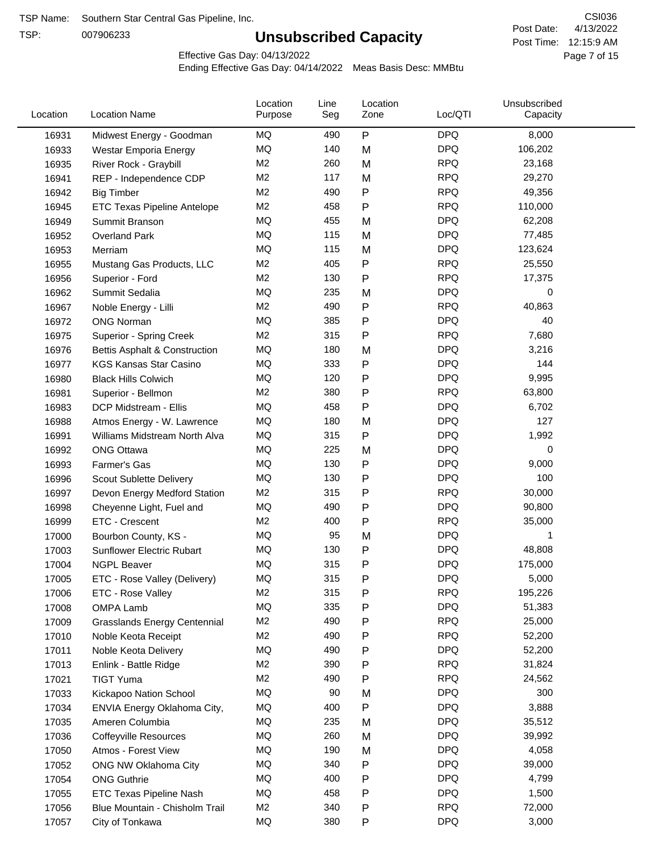TSP:

# **Unsubscribed Capacity**

4/13/2022 Page 7 of 15 Post Time: 12:15:9 AM CSI036 Post Date:

Effective Gas Day: 04/13/2022

| Location | <b>Location Name</b>                     | Location<br>Purpose | Line<br>Seg | Location<br>Zone | Loc/QTI    | Unsubscribed<br>Capacity |  |
|----------|------------------------------------------|---------------------|-------------|------------------|------------|--------------------------|--|
| 16931    | Midwest Energy - Goodman                 | MQ                  | 490         | P                | <b>DPQ</b> | 8,000                    |  |
| 16933    | Westar Emporia Energy                    | MQ                  | 140         | M                | <b>DPQ</b> | 106,202                  |  |
| 16935    | River Rock - Graybill                    | M <sub>2</sub>      | 260         | M                | <b>RPQ</b> | 23,168                   |  |
| 16941    | REP - Independence CDP                   | M <sub>2</sub>      | 117         | M                | <b>RPQ</b> | 29,270                   |  |
| 16942    | <b>Big Timber</b>                        | M <sub>2</sub>      | 490         | ${\sf P}$        | <b>RPQ</b> | 49,356                   |  |
| 16945    | <b>ETC Texas Pipeline Antelope</b>       | M <sub>2</sub>      | 458         | P                | <b>RPQ</b> | 110,000                  |  |
| 16949    | Summit Branson                           | $\sf{MQ}$           | 455         | M                | <b>DPQ</b> | 62,208                   |  |
| 16952    | <b>Overland Park</b>                     | MQ                  | 115         | M                | <b>DPQ</b> | 77,485                   |  |
| 16953    | Merriam                                  | MQ                  | 115         | M                | <b>DPQ</b> | 123,624                  |  |
| 16955    | Mustang Gas Products, LLC                | M <sub>2</sub>      | 405         | $\mathsf{P}$     | <b>RPQ</b> | 25,550                   |  |
| 16956    | Superior - Ford                          | M <sub>2</sub>      | 130         | $\mathsf{P}$     | <b>RPQ</b> | 17,375                   |  |
| 16962    | Summit Sedalia                           | MQ                  | 235         | M                | <b>DPQ</b> | 0                        |  |
| 16967    | Noble Energy - Lilli                     | M <sub>2</sub>      | 490         | ${\sf P}$        | <b>RPQ</b> | 40,863                   |  |
| 16972    | <b>ONG Norman</b>                        | MQ                  | 385         | $\mathsf{P}$     | <b>DPQ</b> | 40                       |  |
| 16975    | Superior - Spring Creek                  | M <sub>2</sub>      | 315         | $\mathsf{P}$     | <b>RPQ</b> | 7,680                    |  |
| 16976    | <b>Bettis Asphalt &amp; Construction</b> | $\sf{MQ}$           | 180         | M                | <b>DPQ</b> | 3,216                    |  |
| 16977    | <b>KGS Kansas Star Casino</b>            | MQ                  | 333         | P                | <b>DPQ</b> | 144                      |  |
| 16980    | <b>Black Hills Colwich</b>               | MQ                  | 120         | ${\sf P}$        | <b>DPQ</b> | 9,995                    |  |
| 16981    | Superior - Bellmon                       | M <sub>2</sub>      | 380         | $\mathsf{P}$     | <b>RPQ</b> | 63,800                   |  |
| 16983    | DCP Midstream - Ellis                    | MQ                  | 458         | P                | <b>DPQ</b> | 6,702                    |  |
| 16988    | Atmos Energy - W. Lawrence               | MQ                  | 180         | M                | <b>DPQ</b> | 127                      |  |
| 16991    | Williams Midstream North Alva            | MQ                  | 315         | P                | <b>DPQ</b> | 1,992                    |  |
| 16992    | <b>ONG Ottawa</b>                        | MQ                  | 225         | M                | <b>DPQ</b> | 0                        |  |
| 16993    | Farmer's Gas                             | MQ                  | 130         | P                | <b>DPQ</b> | 9,000                    |  |
| 16996    | Scout Sublette Delivery                  | MQ                  | 130         | P                | <b>DPQ</b> | 100                      |  |
| 16997    | Devon Energy Medford Station             | M <sub>2</sub>      | 315         | P                | <b>RPQ</b> | 30,000                   |  |
| 16998    | Cheyenne Light, Fuel and                 | MQ                  | 490         | $\mathsf{P}$     | <b>DPQ</b> | 90,800                   |  |
| 16999    | ETC - Crescent                           | M <sub>2</sub>      | 400         | $\mathsf{P}$     | <b>RPQ</b> | 35,000                   |  |
| 17000    | Bourbon County, KS -                     | MQ                  | 95          | M                | <b>DPQ</b> | 1                        |  |
| 17003    | Sunflower Electric Rubart                | MQ                  | 130         | ${\sf P}$        | <b>DPQ</b> | 48,808                   |  |
| 17004    | <b>NGPL Beaver</b>                       | MQ                  | 315         | P                | <b>DPQ</b> | 175,000                  |  |
| 17005    | ETC - Rose Valley (Delivery)             | MQ                  | 315         | P                | <b>DPQ</b> | 5,000                    |  |
| 17006    | ETC - Rose Valley                        | M <sub>2</sub>      | 315         | P                | <b>RPQ</b> | 195,226                  |  |
| 17008    | OMPA Lamb                                | MQ                  | 335         | P                | <b>DPQ</b> | 51,383                   |  |
| 17009    | <b>Grasslands Energy Centennial</b>      | M <sub>2</sub>      | 490         | P                | <b>RPQ</b> | 25,000                   |  |
| 17010    | Noble Keota Receipt                      | M <sub>2</sub>      | 490         | P                | <b>RPQ</b> | 52,200                   |  |
| 17011    | Noble Keota Delivery                     | MQ                  | 490         | P                | <b>DPQ</b> | 52,200                   |  |
| 17013    | Enlink - Battle Ridge                    | M <sub>2</sub>      | 390         | P                | <b>RPQ</b> | 31,824                   |  |
| 17021    | <b>TIGT Yuma</b>                         | M <sub>2</sub>      | 490         | P                | <b>RPQ</b> | 24,562                   |  |
| 17033    | Kickapoo Nation School                   | MQ                  | 90          | M                | <b>DPQ</b> | 300                      |  |
| 17034    | ENVIA Energy Oklahoma City,              | MQ                  | 400         | $\mathsf{P}$     | <b>DPQ</b> | 3,888                    |  |
| 17035    | Ameren Columbia                          | MQ                  | 235         | M                | <b>DPQ</b> | 35,512                   |  |
| 17036    | <b>Coffeyville Resources</b>             | MQ                  | 260         | M                | <b>DPQ</b> | 39,992                   |  |
| 17050    | Atmos - Forest View                      | MQ                  | 190         | M                | <b>DPQ</b> | 4,058                    |  |
| 17052    | ONG NW Oklahoma City                     | MQ                  | 340         | P                | <b>DPQ</b> | 39,000                   |  |
| 17054    | <b>ONG Guthrie</b>                       | MQ                  | 400         | P                | <b>DPQ</b> | 4,799                    |  |
| 17055    | ETC Texas Pipeline Nash                  | MQ                  | 458         | $\mathsf{P}$     | <b>DPQ</b> | 1,500                    |  |
| 17056    | Blue Mountain - Chisholm Trail           | M <sub>2</sub>      | 340         | P                | <b>RPQ</b> | 72,000                   |  |
| 17057    | City of Tonkawa                          | MQ                  | 380         | $\mathsf{P}$     | <b>DPQ</b> | 3,000                    |  |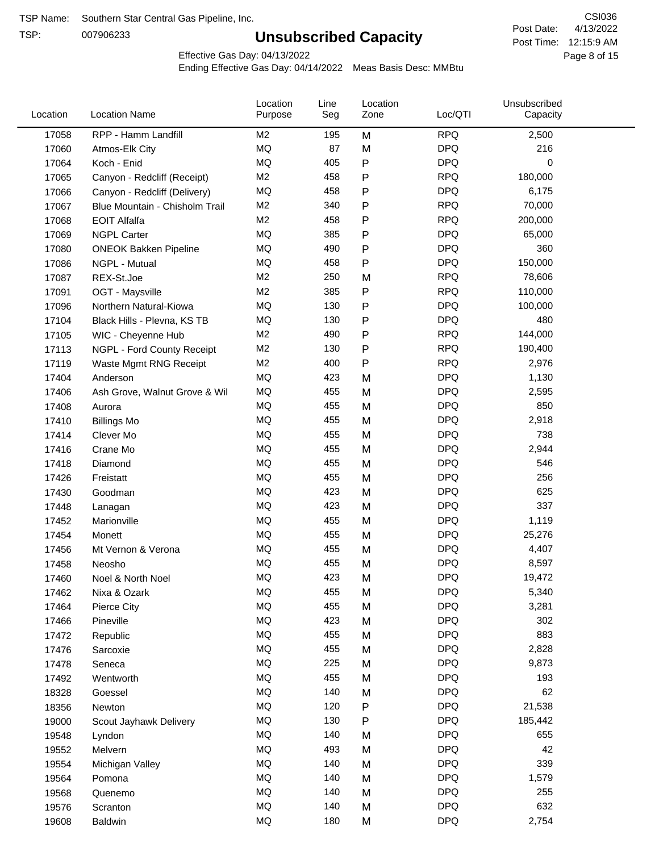TSP:

# **Unsubscribed Capacity**

4/13/2022 Page 8 of 15 Post Time: 12:15:9 AM CSI036 Post Date:

Effective Gas Day: 04/13/2022

| Location | <b>Location Name</b>           | Location<br>Purpose | Line<br>Seg | Location<br>Zone | Loc/QTI    | Unsubscribed<br>Capacity |  |
|----------|--------------------------------|---------------------|-------------|------------------|------------|--------------------------|--|
| 17058    | RPP - Hamm Landfill            | M2                  | 195         | M                | <b>RPQ</b> | 2,500                    |  |
| 17060    | Atmos-Elk City                 | MQ                  | 87          | M                | <b>DPQ</b> | 216                      |  |
| 17064    | Koch - Enid                    | MQ                  | 405         | ${\sf P}$        | <b>DPQ</b> | $\mathbf 0$              |  |
| 17065    | Canyon - Redcliff (Receipt)    | M <sub>2</sub>      | 458         | ${\sf P}$        | <b>RPQ</b> | 180,000                  |  |
| 17066    | Canyon - Redcliff (Delivery)   | <b>MQ</b>           | 458         | P                | <b>DPQ</b> | 6,175                    |  |
| 17067    | Blue Mountain - Chisholm Trail | M <sub>2</sub>      | 340         | P                | <b>RPQ</b> | 70,000                   |  |
| 17068    | <b>EOIT Alfalfa</b>            | M <sub>2</sub>      | 458         | P                | <b>RPQ</b> | 200,000                  |  |
| 17069    | <b>NGPL Carter</b>             | <b>MQ</b>           | 385         | ${\sf P}$        | <b>DPQ</b> | 65,000                   |  |
| 17080    | <b>ONEOK Bakken Pipeline</b>   | MQ                  | 490         | $\mathsf{P}$     | <b>DPQ</b> | 360                      |  |
| 17086    | NGPL - Mutual                  | <b>MQ</b>           | 458         | $\mathsf{P}$     | <b>DPQ</b> | 150,000                  |  |
| 17087    | REX-St.Joe                     | M2                  | 250         | M                | <b>RPQ</b> | 78,606                   |  |
| 17091    | OGT - Maysville                | M <sub>2</sub>      | 385         | P                | <b>RPQ</b> | 110,000                  |  |
| 17096    | Northern Natural-Kiowa         | <b>MQ</b>           | 130         | P                | <b>DPQ</b> | 100,000                  |  |
| 17104    | Black Hills - Plevna, KS TB    | <b>MQ</b>           | 130         | P                | <b>DPQ</b> | 480                      |  |
| 17105    | WIC - Cheyenne Hub             | M <sub>2</sub>      | 490         | P                | <b>RPQ</b> | 144,000                  |  |
| 17113    | NGPL - Ford County Receipt     | M <sub>2</sub>      | 130         | P                | <b>RPQ</b> | 190,400                  |  |
| 17119    | Waste Mgmt RNG Receipt         | M <sub>2</sub>      | 400         | P                | <b>RPQ</b> | 2,976                    |  |
| 17404    | Anderson                       | MQ                  | 423         | M                | <b>DPQ</b> | 1,130                    |  |
| 17406    | Ash Grove, Walnut Grove & Wil  | <b>MQ</b>           | 455         | M                | <b>DPQ</b> | 2,595                    |  |
| 17408    | Aurora                         | <b>MQ</b>           | 455         | M                | <b>DPQ</b> | 850                      |  |
| 17410    | <b>Billings Mo</b>             | <b>MQ</b>           | 455         | M                | <b>DPQ</b> | 2,918                    |  |
| 17414    | Clever Mo                      | <b>MQ</b>           | 455         | M                | <b>DPQ</b> | 738                      |  |
| 17416    | Crane Mo                       | <b>MQ</b>           | 455         | M                | <b>DPQ</b> | 2,944                    |  |
| 17418    | Diamond                        | <b>MQ</b>           | 455         | M                | <b>DPQ</b> | 546                      |  |
| 17426    | Freistatt                      | <b>MQ</b>           | 455         | M                | <b>DPQ</b> | 256                      |  |
| 17430    | Goodman                        | <b>MQ</b>           | 423         | M                | <b>DPQ</b> | 625                      |  |
| 17448    | Lanagan                        | <b>MQ</b>           | 423         | M                | <b>DPQ</b> | 337                      |  |
| 17452    | Marionville                    | <b>MQ</b>           | 455         | M                | <b>DPQ</b> | 1,119                    |  |
| 17454    | Monett                         | <b>MQ</b>           | 455         | M                | <b>DPQ</b> | 25,276                   |  |
| 17456    | Mt Vernon & Verona             | <b>MQ</b>           | 455         | M                | <b>DPQ</b> | 4,407                    |  |
| 17458    | Neosho                         | <b>MQ</b>           | 455         | M                | <b>DPQ</b> | 8,597                    |  |
| 17460    | Noel & North Noel              | MQ                  | 423         | M                | <b>DPQ</b> | 19,472                   |  |
| 17462    | Nixa & Ozark                   | MQ                  | 455         | M                | <b>DPQ</b> | 5,340                    |  |
| 17464    | Pierce City                    | $\sf{MQ}$           | 455         | M                | <b>DPQ</b> | 3,281                    |  |
| 17466    | Pineville                      | MQ                  | 423         | M                | <b>DPQ</b> | 302                      |  |
| 17472    | Republic                       | MQ                  | 455         | M                | <b>DPQ</b> | 883                      |  |
| 17476    | Sarcoxie                       | MQ                  | 455         | M                | <b>DPQ</b> | 2,828                    |  |
| 17478    | Seneca                         | MQ                  | 225         | M                | <b>DPQ</b> | 9,873                    |  |
| 17492    | Wentworth                      | <b>MQ</b>           | 455         | M                | <b>DPQ</b> | 193                      |  |
| 18328    | Goessel                        | <b>MQ</b>           | 140         | M                | <b>DPQ</b> | 62                       |  |
| 18356    | Newton                         | MQ                  | 120         | P                | <b>DPQ</b> | 21,538                   |  |
| 19000    | Scout Jayhawk Delivery         | MQ                  | 130         | P                | <b>DPQ</b> | 185,442                  |  |
| 19548    | Lyndon                         | MQ                  | 140         | M                | <b>DPQ</b> | 655                      |  |
| 19552    | Melvern                        | MQ                  | 493         | M                | <b>DPQ</b> | 42                       |  |
| 19554    | Michigan Valley                | MQ                  | 140         | M                | <b>DPQ</b> | 339                      |  |
| 19564    | Pomona                         | MQ                  | 140         | M                | <b>DPQ</b> | 1,579                    |  |
| 19568    | Quenemo                        | <b>MQ</b>           | 140         | M                | <b>DPQ</b> | 255                      |  |
| 19576    | Scranton                       | MQ                  | 140         | M                | <b>DPQ</b> | 632                      |  |
| 19608    | Baldwin                        | $\sf{MQ}$           | 180         | M                | <b>DPQ</b> | 2,754                    |  |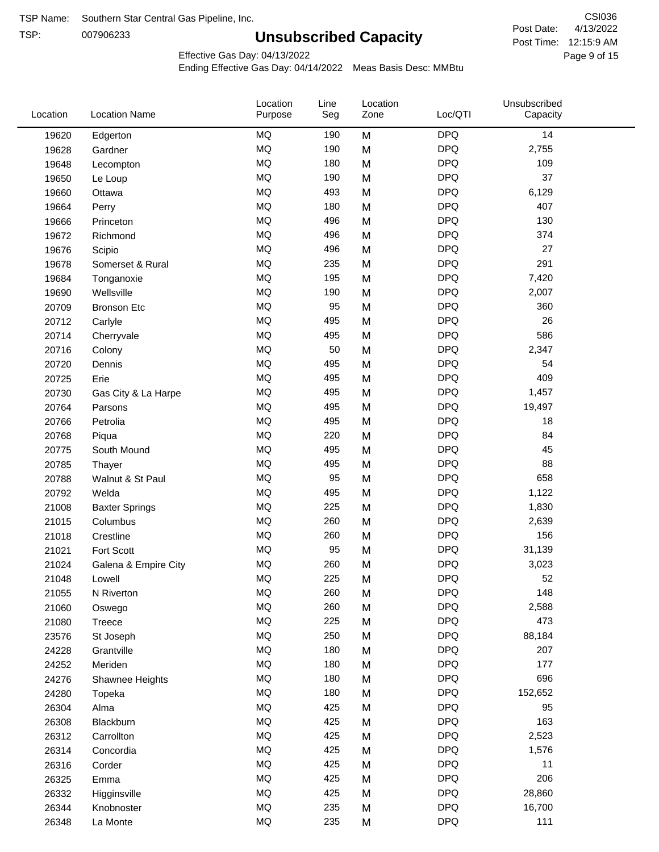TSP:

# **Unsubscribed Capacity**

4/13/2022 Page 9 of 15 Post Time: 12:15:9 AM CSI036 Post Date:

Effective Gas Day: 04/13/2022

| Location | <b>Location Name</b>  | Location<br>Purpose | Line<br>Seg | Location<br>Zone | Loc/QTI    | Unsubscribed<br>Capacity |  |
|----------|-----------------------|---------------------|-------------|------------------|------------|--------------------------|--|
| 19620    | Edgerton              | <b>MQ</b>           | 190         | M                | <b>DPQ</b> | 14                       |  |
| 19628    | Gardner               | <b>MQ</b>           | 190         | M                | <b>DPQ</b> | 2,755                    |  |
| 19648    | Lecompton             | <b>MQ</b>           | 180         | M                | <b>DPQ</b> | 109                      |  |
| 19650    | Le Loup               | <b>MQ</b>           | 190         | M                | <b>DPQ</b> | 37                       |  |
| 19660    | Ottawa                | <b>MQ</b>           | 493         | M                | <b>DPQ</b> | 6,129                    |  |
| 19664    | Perry                 | <b>MQ</b>           | 180         | M                | <b>DPQ</b> | 407                      |  |
| 19666    | Princeton             | <b>MQ</b>           | 496         | M                | <b>DPQ</b> | 130                      |  |
| 19672    | Richmond              | <b>MQ</b>           | 496         | M                | <b>DPQ</b> | 374                      |  |
| 19676    | Scipio                | <b>MQ</b>           | 496         | M                | <b>DPQ</b> | 27                       |  |
| 19678    | Somerset & Rural      | <b>MQ</b>           | 235         | M                | <b>DPQ</b> | 291                      |  |
| 19684    | Tonganoxie            | <b>MQ</b>           | 195         | M                | <b>DPQ</b> | 7,420                    |  |
| 19690    | Wellsville            | <b>MQ</b>           | 190         | M                | <b>DPQ</b> | 2,007                    |  |
| 20709    | <b>Bronson Etc</b>    | <b>MQ</b>           | 95          | M                | <b>DPQ</b> | 360                      |  |
| 20712    | Carlyle               | <b>MQ</b>           | 495         | M                | <b>DPQ</b> | 26                       |  |
| 20714    | Cherryvale            | <b>MQ</b>           | 495         | M                | <b>DPQ</b> | 586                      |  |
| 20716    | Colony                | <b>MQ</b>           | 50          | M                | <b>DPQ</b> | 2,347                    |  |
| 20720    | Dennis                | <b>MQ</b>           | 495         | M                | <b>DPQ</b> | 54                       |  |
| 20725    | Erie                  | <b>MQ</b>           | 495         | M                | <b>DPQ</b> | 409                      |  |
| 20730    | Gas City & La Harpe   | <b>MQ</b>           | 495         | M                | <b>DPQ</b> | 1,457                    |  |
| 20764    | Parsons               | <b>MQ</b>           | 495         | M                | <b>DPQ</b> | 19,497                   |  |
| 20766    | Petrolia              | <b>MQ</b>           | 495         | M                | <b>DPQ</b> | 18                       |  |
| 20768    | Piqua                 | <b>MQ</b>           | 220         | M                | <b>DPQ</b> | 84                       |  |
| 20775    | South Mound           | <b>MQ</b>           | 495         | M                | <b>DPQ</b> | 45                       |  |
| 20785    | Thayer                | <b>MQ</b>           | 495         | M                | <b>DPQ</b> | 88                       |  |
| 20788    | Walnut & St Paul      | <b>MQ</b>           | 95          | M                | <b>DPQ</b> | 658                      |  |
| 20792    | Welda                 | <b>MQ</b>           | 495         | M                | <b>DPQ</b> | 1,122                    |  |
| 21008    | <b>Baxter Springs</b> | <b>MQ</b>           | 225         | M                | <b>DPQ</b> | 1,830                    |  |
| 21015    | Columbus              | <b>MQ</b>           | 260         | M                | <b>DPQ</b> | 2,639                    |  |
| 21018    | Crestline             | <b>MQ</b>           | 260         | M                | <b>DPQ</b> | 156                      |  |
| 21021    | Fort Scott            | <b>MQ</b>           | 95          | M                | <b>DPQ</b> | 31,139                   |  |
| 21024    | Galena & Empire City  | <b>MQ</b>           | 260         | M                | <b>DPQ</b> | 3,023                    |  |
| 21048    | Lowell                | <b>MQ</b>           | 225         | M                | <b>DPQ</b> | 52                       |  |
| 21055    | N Riverton            | MQ                  | 260         | M                | <b>DPQ</b> | 148                      |  |
| 21060    | Oswego                | <b>MQ</b>           | 260         | M                | <b>DPQ</b> | 2,588                    |  |
| 21080    | Treece                | <b>MQ</b>           | 225         | M                | <b>DPQ</b> | 473                      |  |
| 23576    | St Joseph             | MQ                  | 250         | M                | <b>DPQ</b> | 88,184                   |  |
| 24228    | Grantville            | <b>MQ</b>           | 180         | M                | <b>DPQ</b> | 207                      |  |
| 24252    | Meriden               | <b>MQ</b>           | 180         | M                | <b>DPQ</b> | 177                      |  |
| 24276    | Shawnee Heights       | <b>MQ</b>           | 180         | M                | <b>DPQ</b> | 696                      |  |
| 24280    | Topeka                | <b>MQ</b>           | 180         | M                | <b>DPQ</b> | 152,652                  |  |
| 26304    | Alma                  | <b>MQ</b>           | 425         | M                | <b>DPQ</b> | 95                       |  |
| 26308    | Blackburn             | <b>MQ</b>           | 425         | M                | <b>DPQ</b> | 163                      |  |
| 26312    | Carrollton            | <b>MQ</b>           | 425         | M                | <b>DPQ</b> | 2,523                    |  |
| 26314    | Concordia             | <b>MQ</b>           | 425         | M                | <b>DPQ</b> | 1,576                    |  |
| 26316    | Corder                | <b>MQ</b>           | 425         | M                | <b>DPQ</b> | 11                       |  |
| 26325    | Emma                  | <b>MQ</b>           | 425         | M                | <b>DPQ</b> | 206                      |  |
| 26332    | Higginsville          | <b>MQ</b>           | 425         | M                | <b>DPQ</b> | 28,860                   |  |
| 26344    | Knobnoster            | <b>MQ</b>           | 235         | M                | <b>DPQ</b> | 16,700                   |  |
| 26348    | La Monte              | <b>MQ</b>           | 235         | M                | <b>DPQ</b> | 111                      |  |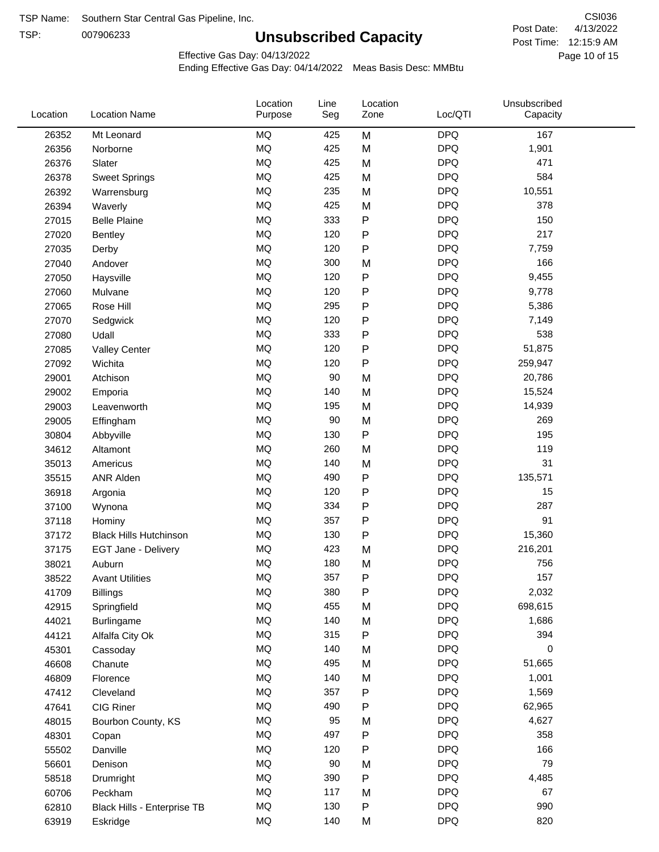TSP:

# **Unsubscribed Capacity**

4/13/2022 Page 10 of 15 Post Time: 12:15:9 AM CSI036 Post Date:

Effective Gas Day: 04/13/2022

| Location | <b>Location Name</b>          | Location<br>Purpose | Line<br>Seg | Location<br>Zone | Loc/QTI    | Unsubscribed<br>Capacity |  |
|----------|-------------------------------|---------------------|-------------|------------------|------------|--------------------------|--|
| 26352    | Mt Leonard                    | <b>MQ</b>           | 425         | M                | <b>DPQ</b> | 167                      |  |
| 26356    | Norborne                      | MQ                  | 425         | M                | <b>DPQ</b> | 1,901                    |  |
| 26376    | Slater                        | <b>MQ</b>           | 425         | M                | <b>DPQ</b> | 471                      |  |
| 26378    | <b>Sweet Springs</b>          | MQ                  | 425         | M                | <b>DPQ</b> | 584                      |  |
| 26392    | Warrensburg                   | MQ                  | 235         | M                | <b>DPQ</b> | 10,551                   |  |
| 26394    | Waverly                       | <b>MQ</b>           | 425         | M                | <b>DPQ</b> | 378                      |  |
| 27015    | <b>Belle Plaine</b>           | <b>MQ</b>           | 333         | ${\sf P}$        | <b>DPQ</b> | 150                      |  |
| 27020    | Bentley                       | <b>MQ</b>           | 120         | ${\sf P}$        | <b>DPQ</b> | 217                      |  |
| 27035    | Derby                         | MQ                  | 120         | P                | <b>DPQ</b> | 7,759                    |  |
| 27040    | Andover                       | <b>MQ</b>           | 300         | M                | <b>DPQ</b> | 166                      |  |
| 27050    | Haysville                     | MQ                  | 120         | P                | <b>DPQ</b> | 9,455                    |  |
| 27060    | Mulvane                       | MQ                  | 120         | P                | <b>DPQ</b> | 9,778                    |  |
| 27065    | Rose Hill                     | <b>MQ</b>           | 295         | P                | <b>DPQ</b> | 5,386                    |  |
| 27070    | Sedgwick                      | <b>MQ</b>           | 120         | P                | <b>DPQ</b> | 7,149                    |  |
| 27080    | Udall                         | <b>MQ</b>           | 333         | P                | <b>DPQ</b> | 538                      |  |
| 27085    | <b>Valley Center</b>          | <b>MQ</b>           | 120         | P                | <b>DPQ</b> | 51,875                   |  |
| 27092    | Wichita                       | <b>MQ</b>           | 120         | $\mathsf{P}$     | <b>DPQ</b> | 259,947                  |  |
| 29001    | Atchison                      | <b>MQ</b>           | 90          | M                | <b>DPQ</b> | 20,786                   |  |
| 29002    | Emporia                       | MQ                  | 140         | M                | <b>DPQ</b> | 15,524                   |  |
| 29003    | Leavenworth                   | MQ                  | 195         | M                | <b>DPQ</b> | 14,939                   |  |
| 29005    | Effingham                     | MQ                  | 90          | M                | <b>DPQ</b> | 269                      |  |
| 30804    | Abbyville                     | MQ                  | 130         | ${\sf P}$        | <b>DPQ</b> | 195                      |  |
| 34612    | Altamont                      | <b>MQ</b>           | 260         | M                | <b>DPQ</b> | 119                      |  |
| 35013    | Americus                      | <b>MQ</b>           | 140         | M                | <b>DPQ</b> | 31                       |  |
| 35515    | ANR Alden                     | <b>MQ</b>           | 490         | P                | <b>DPQ</b> | 135,571                  |  |
| 36918    | Argonia                       | MQ                  | 120         | P                | <b>DPQ</b> | 15                       |  |
| 37100    | Wynona                        | MQ                  | 334         | P                | <b>DPQ</b> | 287                      |  |
| 37118    | Hominy                        | <b>MQ</b>           | 357         | P                | <b>DPQ</b> | 91                       |  |
| 37172    | <b>Black Hills Hutchinson</b> | <b>MQ</b>           | 130         | ${\sf P}$        | <b>DPQ</b> | 15,360                   |  |
| 37175    | EGT Jane - Delivery           | MQ                  | 423         | M                | <b>DPQ</b> | 216,201                  |  |
| 38021    | Auburn                        | <b>MQ</b>           | 180         | M                | <b>DPQ</b> | 756                      |  |
| 38522    | <b>Avant Utilities</b>        | <b>MQ</b>           | 357         | P                | <b>DPQ</b> | 157                      |  |
| 41709    | <b>Billings</b>               | MQ                  | 380         | P                | <b>DPQ</b> | 2,032                    |  |
| 42915    | Springfield                   | MQ                  | 455         | M                | <b>DPQ</b> | 698,615                  |  |
| 44021    | Burlingame                    | MQ                  | 140         | M                | <b>DPQ</b> | 1,686                    |  |
| 44121    | Alfalfa City Ok               | MQ                  | 315         | P                | <b>DPQ</b> | 394                      |  |
| 45301    | Cassoday                      | MQ                  | 140         | M                | <b>DPQ</b> | 0                        |  |
| 46608    | Chanute                       | MQ                  | 495         | M                | <b>DPQ</b> | 51,665                   |  |
| 46809    | Florence                      | MQ                  | 140         | M                | <b>DPQ</b> | 1,001                    |  |
| 47412    | Cleveland                     | MQ                  | 357         | P                | <b>DPQ</b> | 1,569                    |  |
| 47641    | CIG Riner                     | $\sf{MQ}$           | 490         | P                | <b>DPQ</b> | 62,965                   |  |
| 48015    | Bourbon County, KS            | MQ                  | 95          | M                | <b>DPQ</b> | 4,627                    |  |
| 48301    | Copan                         | MQ                  | 497         | ${\sf P}$        | <b>DPQ</b> | 358                      |  |
| 55502    | Danville                      | MQ                  | 120         | ${\sf P}$        | <b>DPQ</b> | 166                      |  |
| 56601    | Denison                       | <b>MQ</b>           | 90          | M                | <b>DPQ</b> | 79                       |  |
| 58518    | Drumright                     | MQ                  | 390         | ${\sf P}$        | <b>DPQ</b> | 4,485                    |  |
| 60706    | Peckham                       | MQ                  | 117         | M                | <b>DPQ</b> | 67                       |  |
| 62810    | Black Hills - Enterprise TB   | MQ                  | 130         | ${\sf P}$        | <b>DPQ</b> | 990                      |  |
| 63919    | Eskridge                      | $\sf{MQ}$           | 140         | M                | <b>DPQ</b> | 820                      |  |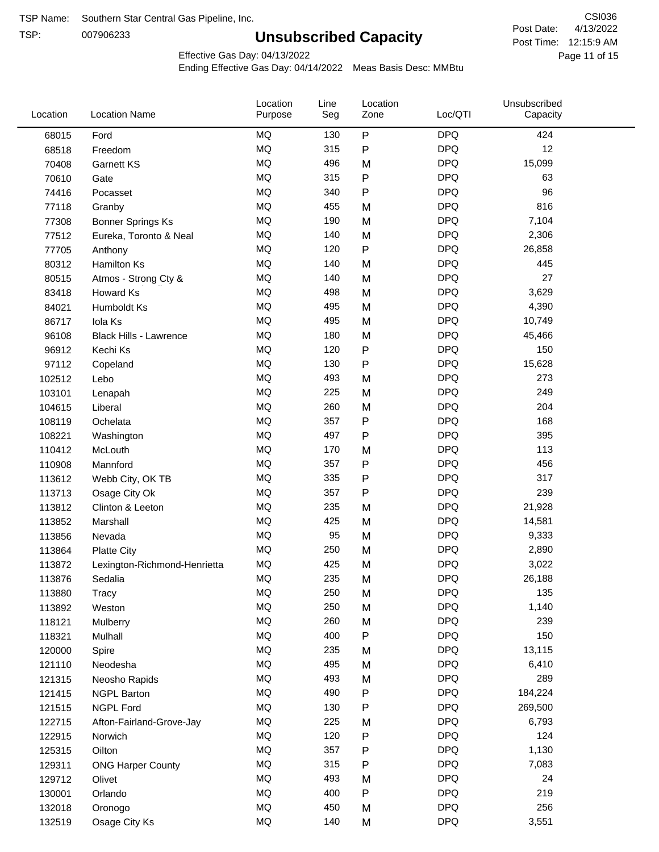TSP:

# **Unsubscribed Capacity**

4/13/2022 Page 11 of 15 Post Time: 12:15:9 AM CSI036 Post Date:

Effective Gas Day: 04/13/2022

| Location | <b>Location Name</b>          | Location<br>Purpose | Line<br>Seg | Location<br>Zone | Loc/QTI    | Unsubscribed<br>Capacity |  |
|----------|-------------------------------|---------------------|-------------|------------------|------------|--------------------------|--|
| 68015    | Ford                          | <b>MQ</b>           | 130         | P                | <b>DPQ</b> | 424                      |  |
| 68518    | Freedom                       | MQ                  | 315         | P                | <b>DPQ</b> | 12                       |  |
| 70408    | Garnett KS                    | <b>MQ</b>           | 496         | M                | <b>DPQ</b> | 15,099                   |  |
| 70610    | Gate                          | <b>MQ</b>           | 315         | P                | <b>DPQ</b> | 63                       |  |
| 74416    | Pocasset                      | <b>MQ</b>           | 340         | P                | <b>DPQ</b> | 96                       |  |
| 77118    | Granby                        | <b>MQ</b>           | 455         | M                | <b>DPQ</b> | 816                      |  |
| 77308    | <b>Bonner Springs Ks</b>      | MQ                  | 190         | M                | <b>DPQ</b> | 7,104                    |  |
| 77512    | Eureka, Toronto & Neal        | MQ                  | 140         | M                | <b>DPQ</b> | 2,306                    |  |
| 77705    | Anthony                       | <b>MQ</b>           | 120         | P                | <b>DPQ</b> | 26,858                   |  |
| 80312    | <b>Hamilton Ks</b>            | <b>MQ</b>           | 140         | M                | <b>DPQ</b> | 445                      |  |
| 80515    | Atmos - Strong Cty &          | MQ                  | 140         | M                | <b>DPQ</b> | 27                       |  |
| 83418    | Howard Ks                     | <b>MQ</b>           | 498         | M                | <b>DPQ</b> | 3,629                    |  |
| 84021    | Humboldt Ks                   | MQ                  | 495         | M                | <b>DPQ</b> | 4,390                    |  |
| 86717    | Iola Ks                       | <b>MQ</b>           | 495         | M                | <b>DPQ</b> | 10,749                   |  |
| 96108    | <b>Black Hills - Lawrence</b> | <b>MQ</b>           | 180         | M                | <b>DPQ</b> | 45,466                   |  |
| 96912    | Kechi Ks                      | MQ                  | 120         | P                | <b>DPQ</b> | 150                      |  |
| 97112    | Copeland                      | <b>MQ</b>           | 130         | P                | <b>DPQ</b> | 15,628                   |  |
| 102512   | Lebo                          | <b>MQ</b>           | 493         | M                | <b>DPQ</b> | 273                      |  |
| 103101   | Lenapah                       | <b>MQ</b>           | 225         | M                | <b>DPQ</b> | 249                      |  |
| 104615   | Liberal                       | MQ                  | 260         | M                | <b>DPQ</b> | 204                      |  |
| 108119   | Ochelata                      | MQ                  | 357         | P                | <b>DPQ</b> | 168                      |  |
| 108221   | Washington                    | MQ                  | 497         | P                | <b>DPQ</b> | 395                      |  |
| 110412   | McLouth                       | <b>MQ</b>           | 170         | M                | <b>DPQ</b> | 113                      |  |
| 110908   | Mannford                      | <b>MQ</b>           | 357         | P                | <b>DPQ</b> | 456                      |  |
| 113612   | Webb City, OK TB              | <b>MQ</b>           | 335         | Ρ                | <b>DPQ</b> | 317                      |  |
| 113713   | Osage City Ok                 | <b>MQ</b>           | 357         | P                | <b>DPQ</b> | 239                      |  |
| 113812   | Clinton & Leeton              | <b>MQ</b>           | 235         | M                | <b>DPQ</b> | 21,928                   |  |
| 113852   | Marshall                      | <b>MQ</b>           | 425         | M                | <b>DPQ</b> | 14,581                   |  |
| 113856   | Nevada                        | MQ                  | 95          | M                | <b>DPQ</b> | 9,333                    |  |
| 113864   | <b>Platte City</b>            | MQ                  | 250         | M                | <b>DPQ</b> | 2,890                    |  |
| 113872   | Lexington-Richmond-Henrietta  | MQ                  | 425         | M                | <b>DPQ</b> | 3,022                    |  |
| 113876   | Sedalia                       | MQ                  | 235         | М                | <b>DPQ</b> | 26,188                   |  |
| 113880   | Tracy                         | MQ                  | 250         | M                | <b>DPQ</b> | 135                      |  |
| 113892   | Weston                        | MQ                  | 250         | M                | <b>DPQ</b> | 1,140                    |  |
| 118121   | Mulberry                      | MQ                  | 260         | M                | <b>DPQ</b> | 239                      |  |
| 118321   | Mulhall                       | MQ                  | 400         | P                | <b>DPQ</b> | 150                      |  |
| 120000   | Spire                         | MQ                  | 235         | M                | <b>DPQ</b> | 13,115                   |  |
| 121110   | Neodesha                      | MQ                  | 495         | M                | <b>DPQ</b> | 6,410                    |  |
| 121315   | Neosho Rapids                 | $\sf{MQ}$           | 493         | M                | <b>DPQ</b> | 289                      |  |
| 121415   | <b>NGPL Barton</b>            | MQ                  | 490         | P                | <b>DPQ</b> | 184,224                  |  |
| 121515   | <b>NGPL Ford</b>              | MQ                  | 130         | P                | <b>DPQ</b> | 269,500                  |  |
| 122715   | Afton-Fairland-Grove-Jay      | MQ                  | 225         | M                | <b>DPQ</b> | 6,793                    |  |
| 122915   | Norwich                       | MQ                  | 120         | P                | <b>DPQ</b> | 124                      |  |
| 125315   | Oilton                        | MQ                  | 357         | P                | <b>DPQ</b> | 1,130                    |  |
| 129311   | <b>ONG Harper County</b>      | MQ                  | 315         | P                | <b>DPQ</b> | 7,083                    |  |
| 129712   | Olivet                        | MQ                  | 493         | M                | <b>DPQ</b> | 24                       |  |
| 130001   | Orlando                       | MQ                  | 400         | P                | <b>DPQ</b> | 219                      |  |
| 132018   | Oronogo                       | $\sf{MQ}$           | 450         | M                | <b>DPQ</b> | 256                      |  |
| 132519   | Osage City Ks                 | MQ                  | 140         | M                | <b>DPQ</b> | 3,551                    |  |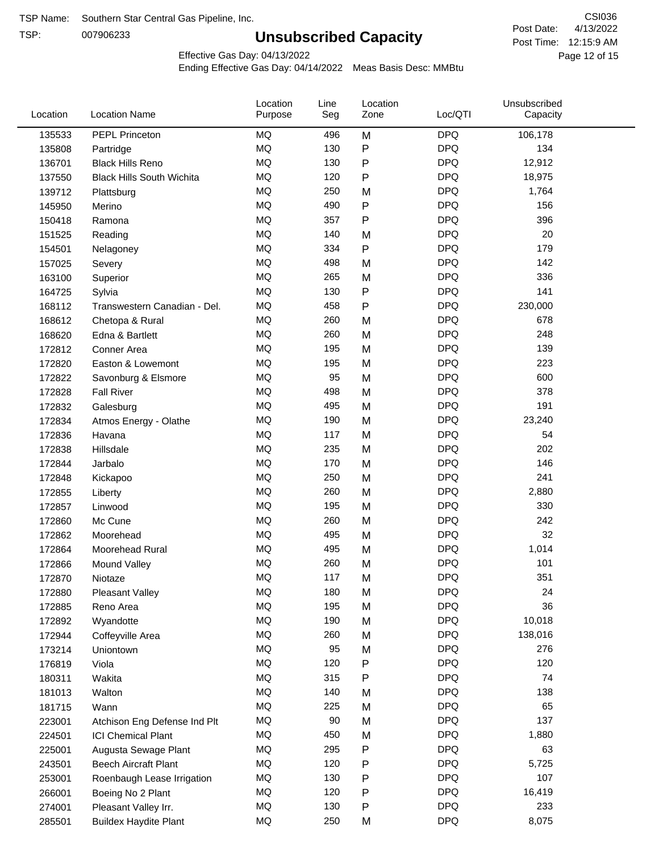TSP:

# **Unsubscribed Capacity**

4/13/2022 Page 12 of 15 Post Time: 12:15:9 AM CSI036 Post Date:

Effective Gas Day: 04/13/2022

| Location | <b>Location Name</b>             | Location<br>Purpose | Line<br>Seg | Location<br>Zone | Loc/QTI    | Unsubscribed<br>Capacity |  |
|----------|----------------------------------|---------------------|-------------|------------------|------------|--------------------------|--|
| 135533   | PEPL Princeton                   | <b>MQ</b>           | 496         | M                | <b>DPQ</b> | 106,178                  |  |
| 135808   | Partridge                        | MQ                  | 130         | ${\sf P}$        | <b>DPQ</b> | 134                      |  |
| 136701   | <b>Black Hills Reno</b>          | <b>MQ</b>           | 130         | P                | <b>DPQ</b> | 12,912                   |  |
| 137550   | <b>Black Hills South Wichita</b> | <b>MQ</b>           | 120         | $\mathsf{P}$     | <b>DPQ</b> | 18,975                   |  |
| 139712   | Plattsburg                       | <b>MQ</b>           | 250         | M                | <b>DPQ</b> | 1,764                    |  |
| 145950   | Merino                           | <b>MQ</b>           | 490         | $\mathsf{P}$     | <b>DPQ</b> | 156                      |  |
| 150418   | Ramona                           | <b>MQ</b>           | 357         | $\mathsf{P}$     | <b>DPQ</b> | 396                      |  |
| 151525   | Reading                          | <b>MQ</b>           | 140         | M                | <b>DPQ</b> | 20                       |  |
| 154501   | Nelagoney                        | <b>MQ</b>           | 334         | $\mathsf{P}$     | <b>DPQ</b> | 179                      |  |
| 157025   | Severy                           | <b>MQ</b>           | 498         | M                | <b>DPQ</b> | 142                      |  |
| 163100   | Superior                         | <b>MQ</b>           | 265         | M                | <b>DPQ</b> | 336                      |  |
| 164725   | Sylvia                           | <b>MQ</b>           | 130         | P                | <b>DPQ</b> | 141                      |  |
| 168112   | Transwestern Canadian - Del.     | <b>MQ</b>           | 458         | P                | <b>DPQ</b> | 230,000                  |  |
| 168612   | Chetopa & Rural                  | <b>MQ</b>           | 260         | M                | <b>DPQ</b> | 678                      |  |
| 168620   | Edna & Bartlett                  | <b>MQ</b>           | 260         | M                | <b>DPQ</b> | 248                      |  |
| 172812   | Conner Area                      | <b>MQ</b>           | 195         | M                | <b>DPQ</b> | 139                      |  |
| 172820   | Easton & Lowemont                | MQ                  | 195         | M                | <b>DPQ</b> | 223                      |  |
| 172822   | Savonburg & Elsmore              | MQ                  | 95          | M                | <b>DPQ</b> | 600                      |  |
| 172828   | <b>Fall River</b>                | <b>MQ</b>           | 498         | M                | <b>DPQ</b> | 378                      |  |
| 172832   | Galesburg                        | <b>MQ</b>           | 495         | M                | <b>DPQ</b> | 191                      |  |
| 172834   | Atmos Energy - Olathe            | <b>MQ</b>           | 190         | M                | <b>DPQ</b> | 23,240                   |  |
| 172836   | Havana                           | <b>MQ</b>           | 117         | M                | <b>DPQ</b> | 54                       |  |
| 172838   | Hillsdale                        | <b>MQ</b>           | 235         | M                | <b>DPQ</b> | 202                      |  |
| 172844   | Jarbalo                          | <b>MQ</b>           | 170         | M                | <b>DPQ</b> | 146                      |  |
| 172848   | Kickapoo                         | <b>MQ</b>           | 250         | M                | <b>DPQ</b> | 241                      |  |
| 172855   | Liberty                          | <b>MQ</b>           | 260         | M                | <b>DPQ</b> | 2,880                    |  |
| 172857   | Linwood                          | <b>MQ</b>           | 195         | M                | <b>DPQ</b> | 330                      |  |
| 172860   | Mc Cune                          | <b>MQ</b>           | 260         | M                | <b>DPQ</b> | 242                      |  |
| 172862   | Moorehead                        | <b>MQ</b>           | 495         | M                | <b>DPQ</b> | 32                       |  |
| 172864   | Moorehead Rural                  | <b>MQ</b>           | 495         | M                | <b>DPQ</b> | 1,014                    |  |
| 172866   | Mound Valley                     | <b>MQ</b>           | 260         | M                | <b>DPQ</b> | 101                      |  |
| 172870   | Niotaze                          | MQ                  | 117         | M                | <b>DPQ</b> | 351                      |  |
| 172880   | <b>Pleasant Valley</b>           | MQ                  | 180         | M                | <b>DPQ</b> | 24                       |  |
| 172885   | Reno Area                        | MQ                  | 195         | M                | <b>DPQ</b> | 36                       |  |
| 172892   | Wyandotte                        | <b>MQ</b>           | 190         | M                | <b>DPQ</b> | 10,018                   |  |
| 172944   | Coffeyville Area                 | <b>MQ</b>           | 260         | M                | <b>DPQ</b> | 138,016                  |  |
| 173214   | Uniontown                        | <b>MQ</b>           | 95          | M                | <b>DPQ</b> | 276                      |  |
| 176819   | Viola                            | MQ                  | 120         | P                | <b>DPQ</b> | 120                      |  |
| 180311   | Wakita                           | <b>MQ</b>           | 315         | Ρ                | <b>DPQ</b> | 74                       |  |
| 181013   | Walton                           | MQ                  | 140         | M                | <b>DPQ</b> | 138                      |  |
| 181715   | Wann                             | MQ                  | 225         | M                | <b>DPQ</b> | 65                       |  |
| 223001   | Atchison Eng Defense Ind Plt     | <b>MQ</b>           | 90          | M                | <b>DPQ</b> | 137                      |  |
| 224501   | <b>ICI Chemical Plant</b>        | <b>MQ</b>           | 450         | M                | <b>DPQ</b> | 1,880                    |  |
| 225001   | Augusta Sewage Plant             | MQ                  | 295         | P                | <b>DPQ</b> | 63                       |  |
| 243501   | <b>Beech Aircraft Plant</b>      | MQ                  | 120         | P                | <b>DPQ</b> | 5,725                    |  |
| 253001   | Roenbaugh Lease Irrigation       | MQ                  | 130         | P                | <b>DPQ</b> | 107                      |  |
| 266001   | Boeing No 2 Plant                | MQ                  | 120         | P                | <b>DPQ</b> | 16,419                   |  |
| 274001   | Pleasant Valley Irr.             | MQ                  | 130         | P                | <b>DPQ</b> | 233                      |  |
| 285501   | <b>Buildex Haydite Plant</b>     | MQ                  | 250         | M                | <b>DPQ</b> | 8,075                    |  |
|          |                                  |                     |             |                  |            |                          |  |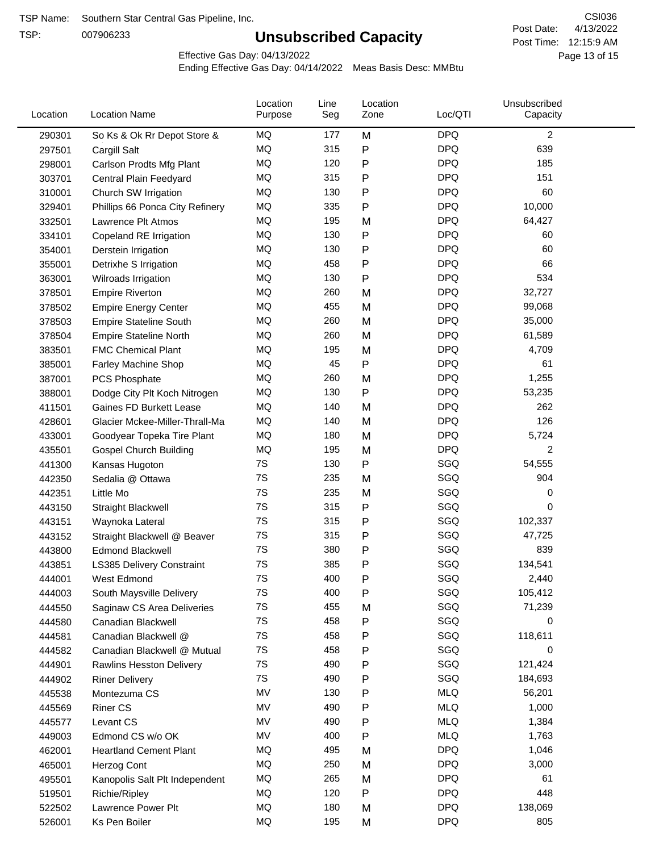TSP:

# **Unsubscribed Capacity**

4/13/2022 Page 13 of 15 Post Time: 12:15:9 AM CSI036 Post Date:

Effective Gas Day: 04/13/2022

| Location | <b>Location Name</b>             | Location<br>Purpose | Line<br>Seg | Location<br>Zone | Loc/QTI    | Unsubscribed<br>Capacity |  |
|----------|----------------------------------|---------------------|-------------|------------------|------------|--------------------------|--|
| 290301   | So Ks & Ok Rr Depot Store &      | MQ                  | 177         | M                | <b>DPQ</b> | $\overline{c}$           |  |
| 297501   | Cargill Salt                     | MQ                  | 315         | P                | <b>DPQ</b> | 639                      |  |
| 298001   | Carlson Prodts Mfg Plant         | <b>MQ</b>           | 120         | Ρ                | <b>DPQ</b> | 185                      |  |
| 303701   | Central Plain Feedyard           | <b>MQ</b>           | 315         | P                | <b>DPQ</b> | 151                      |  |
| 310001   | Church SW Irrigation             | MQ                  | 130         | Ρ                | <b>DPQ</b> | 60                       |  |
| 329401   | Phillips 66 Ponca City Refinery  | MQ                  | 335         | Ρ                | <b>DPQ</b> | 10,000                   |  |
| 332501   | Lawrence Plt Atmos               | MQ                  | 195         | M                | <b>DPQ</b> | 64,427                   |  |
| 334101   | Copeland RE Irrigation           | MQ                  | 130         | P                | <b>DPQ</b> | 60                       |  |
| 354001   | Derstein Irrigation              | MQ                  | 130         | Ρ                | <b>DPQ</b> | 60                       |  |
| 355001   | Detrixhe S Irrigation            | MQ                  | 458         | P                | <b>DPQ</b> | 66                       |  |
| 363001   | Wilroads Irrigation              | MQ                  | 130         | P                | <b>DPQ</b> | 534                      |  |
| 378501   | <b>Empire Riverton</b>           | MQ                  | 260         | M                | <b>DPQ</b> | 32,727                   |  |
| 378502   | <b>Empire Energy Center</b>      | MQ                  | 455         | M                | <b>DPQ</b> | 99,068                   |  |
| 378503   | <b>Empire Stateline South</b>    | MQ                  | 260         | M                | <b>DPQ</b> | 35,000                   |  |
| 378504   | <b>Empire Stateline North</b>    | MQ                  | 260         | M                | <b>DPQ</b> | 61,589                   |  |
| 383501   | <b>FMC Chemical Plant</b>        | MQ                  | 195         | M                | <b>DPQ</b> | 4,709                    |  |
| 385001   | Farley Machine Shop              | MQ                  | 45          | Ρ                | <b>DPQ</b> | 61                       |  |
| 387001   | <b>PCS Phosphate</b>             | MQ                  | 260         | M                | <b>DPQ</b> | 1,255                    |  |
| 388001   | Dodge City Plt Koch Nitrogen     | MQ                  | 130         | P                | <b>DPQ</b> | 53,235                   |  |
| 411501   | Gaines FD Burkett Lease          | MQ                  | 140         | M                | <b>DPQ</b> | 262                      |  |
| 428601   | Glacier Mckee-Miller-Thrall-Ma   | MQ                  | 140         | M                | <b>DPQ</b> | 126                      |  |
| 433001   | Goodyear Topeka Tire Plant       | MQ                  | 180         | M                | <b>DPQ</b> | 5,724                    |  |
| 435501   | <b>Gospel Church Building</b>    | MQ                  | 195         | M                | <b>DPQ</b> | $\overline{2}$           |  |
| 441300   | Kansas Hugoton                   | 7S                  | 130         | Ρ                | SGQ        | 54,555                   |  |
| 442350   | Sedalia @ Ottawa                 | 7S                  | 235         | M                | SGQ        | 904                      |  |
| 442351   | Little Mo                        | 7S                  | 235         | M                | SGQ        | 0                        |  |
| 443150   | <b>Straight Blackwell</b>        | 7S                  | 315         | P                | SGQ        | 0                        |  |
| 443151   | Waynoka Lateral                  | 7S                  | 315         | Ρ                | SGQ        | 102,337                  |  |
| 443152   | Straight Blackwell @ Beaver      | 7S                  | 315         | P                | SGQ        | 47,725                   |  |
| 443800   | <b>Edmond Blackwell</b>          | 7S                  | 380         | Ρ                | SGQ        | 839                      |  |
| 443851   | <b>LS385 Delivery Constraint</b> | 7S                  | 385         | P                | SGQ        | 134,541                  |  |
| 444001   | West Edmond                      | 7S                  | 400         | Ρ                | SGQ        | 2,440                    |  |
| 444003   | South Maysville Delivery         | 7S                  | 400         | Ρ                | SGQ        | 105,412                  |  |
| 444550   | Saginaw CS Area Deliveries       | 7S                  | 455         | M                | SGQ        | 71,239                   |  |
| 444580   | Canadian Blackwell               | 7S                  | 458         | Ρ                | SGQ        | 0                        |  |
| 444581   | Canadian Blackwell @             | 7S                  | 458         | Ρ                | SGQ        | 118,611                  |  |
| 444582   | Canadian Blackwell @ Mutual      | 7S                  | 458         | P                | SGQ        | 0                        |  |
| 444901   | Rawlins Hesston Delivery         | 7S                  | 490         | Ρ                | SGQ        | 121,424                  |  |
| 444902   | <b>Riner Delivery</b>            | 7S                  | 490         | Ρ                | SGQ        | 184,693                  |  |
| 445538   | Montezuma CS                     | MV                  | 130         | Ρ                | <b>MLQ</b> | 56,201                   |  |
| 445569   | <b>Riner CS</b>                  | MV                  | 490         | Ρ                | <b>MLQ</b> | 1,000                    |  |
| 445577   | Levant CS                        | MV                  | 490         | P                | <b>MLQ</b> | 1,384                    |  |
| 449003   | Edmond CS w/o OK                 | MV                  | 400         | P                | <b>MLQ</b> | 1,763                    |  |
| 462001   | <b>Heartland Cement Plant</b>    | MQ                  | 495         | M                | <b>DPQ</b> | 1,046                    |  |
| 465001   | Herzog Cont                      | MQ                  | 250         | M                | <b>DPQ</b> | 3,000                    |  |
| 495501   | Kanopolis Salt Plt Independent   | MQ                  | 265         | M                | <b>DPQ</b> | 61                       |  |
| 519501   | Richie/Ripley                    | MQ                  | 120         | Ρ                | <b>DPQ</b> | 448                      |  |
| 522502   | Lawrence Power Plt               | MQ                  | 180         | M                | <b>DPQ</b> | 138,069                  |  |
| 526001   | Ks Pen Boiler                    | MQ                  | 195         | M                | <b>DPQ</b> | 805                      |  |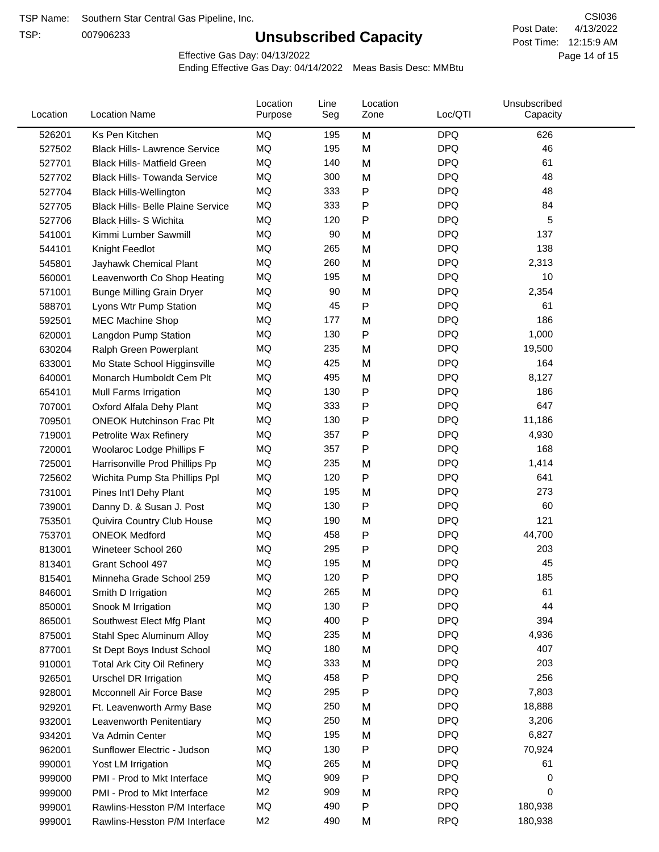TSP:

# **Unsubscribed Capacity**

4/13/2022 Page 14 of 15 Post Time: 12:15:9 AM CSI036 Post Date:

Effective Gas Day: 04/13/2022

| <b>MQ</b><br><b>DPQ</b><br>526201<br>Ks Pen Kitchen<br>195<br>M<br>626<br><b>MQ</b><br>195<br><b>DPQ</b><br>46<br>M<br>527502<br><b>Black Hills- Lawrence Service</b><br><b>MQ</b><br>140<br>M<br><b>DPQ</b><br>61<br>527701<br><b>Black Hills- Matfield Green</b><br><b>MQ</b><br><b>DPQ</b><br>300<br>48<br>M<br><b>Black Hills- Towanda Service</b><br>527702<br><b>MQ</b><br>P<br><b>DPQ</b><br>333<br>48<br>527704<br><b>Black Hills-Wellington</b><br><b>DPQ</b><br>MQ<br>333<br>P<br>84<br>527705<br><b>Black Hills- Belle Plaine Service</b><br>MQ<br>120<br>Ρ<br><b>DPQ</b><br>5<br>527706<br>Black Hills- S Wichita<br><b>DPQ</b><br>MQ<br>137<br>90<br>541001<br>Kimmi Lumber Sawmill<br>M<br>MQ<br>265<br><b>DPQ</b><br>138<br>M<br>544101<br>Knight Feedlot<br>MQ<br>260<br>M<br><b>DPQ</b><br>2,313<br>545801<br>Jayhawk Chemical Plant<br><b>MQ</b><br><b>DPQ</b><br>195<br>10<br>M<br>560001<br>Leavenworth Co Shop Heating<br><b>DPQ</b><br>MQ<br>90<br>2,354<br>M<br>571001<br><b>Bunge Milling Grain Dryer</b><br><b>MQ</b><br><b>DPQ</b><br>45<br>P<br>61<br>Lyons Wtr Pump Station<br>588701<br><b>DPQ</b><br>MQ<br>M<br>186<br>177<br>592501<br><b>MEC Machine Shop</b><br><b>DPQ</b><br>MQ<br>1,000<br>130<br>Ρ<br>620001<br>Langdon Pump Station<br>MQ<br><b>DPQ</b><br>19,500<br>235<br>M<br>630204<br>Ralph Green Powerplant<br><b>DPQ</b><br>MQ<br>164<br>425<br>633001<br>Mo State School Higginsville<br>M<br><b>DPQ</b><br>MQ<br>495<br>M<br>8,127<br>640001<br>Monarch Humboldt Cem Plt<br><b>DPQ</b><br>MQ<br>130<br>P<br>186<br>654101<br>Mull Farms Irrigation<br>P<br><b>DPQ</b><br>647<br>MQ<br>333<br>707001<br>Oxford Alfala Dehy Plant<br>MQ<br>130<br>P<br><b>DPQ</b><br>11,186<br>709501<br><b>ONEOK Hutchinson Frac Plt</b><br><b>DPQ</b><br>MQ<br>357<br>Ρ<br>4,930<br>719001<br>Petrolite Wax Refinery<br><b>DPQ</b><br>MQ<br>357<br>Ρ<br>168<br>720001<br>Woolaroc Lodge Phillips F<br>MQ<br>235<br><b>DPQ</b><br>1,414<br>M<br>725001<br>Harrisonville Prod Phillips Pp<br>MQ<br>120<br>Ρ<br><b>DPQ</b><br>641<br>725602<br>Wichita Pump Sta Phillips Ppl<br>MQ<br><b>DPQ</b><br>273<br>195<br>731001<br>M<br>Pines Int'l Dehy Plant<br><b>MQ</b><br>P<br><b>DPQ</b><br>130<br>60<br>739001<br>Danny D. & Susan J. Post<br>MQ<br><b>DPQ</b><br>121<br>190<br>M<br>753501<br>Quivira Country Club House<br>MQ<br>Ρ<br><b>DPQ</b><br>458<br>44,700<br>753701<br><b>ONEOK Medford</b><br>MQ<br><b>DPQ</b><br>203<br>295<br>Ρ<br>813001<br>Wineteer School 260<br><b>DPQ</b><br>MQ<br>195<br>45<br>M<br>813401<br>Grant School 497<br><b>DPQ</b><br><b>MQ</b><br>120<br>185<br>Ρ<br>815401<br>Minneha Grade School 259<br>MQ<br>265<br><b>DPQ</b><br>61<br>M<br>846001<br>Smith D Irrigation<br>MQ<br>130<br><b>DPQ</b><br>44<br>Ρ<br>850001<br>Snook M Irrigation<br>MQ<br>400<br>Ρ<br><b>DPQ</b><br>394<br>865001<br>Southwest Elect Mfg Plant<br><b>DPQ</b><br>MQ<br>235<br>4,936<br>875001<br>Stahl Spec Aluminum Alloy<br>M<br><b>DPQ</b><br>MQ<br>180<br>407<br>M<br>877001<br>St Dept Boys Indust School<br>MQ<br>333<br><b>DPQ</b><br>203<br>M<br>910001<br><b>Total Ark City Oil Refinery</b><br>256<br>MQ<br>458<br><b>DPQ</b><br>Ρ<br>926501<br>Urschel DR Irrigation<br>MQ<br>295<br><b>DPQ</b><br>7,803<br>Ρ<br>928001<br>Mcconnell Air Force Base<br><b>DPQ</b><br>MQ<br>250<br>18,888<br>Ft. Leavenworth Army Base<br>M<br>929201<br>MQ<br><b>DPQ</b><br>3,206<br>250<br>M<br>932001<br>Leavenworth Penitentiary<br>MQ<br>195<br><b>DPQ</b><br>6,827<br>M<br>934201<br>Va Admin Center<br>MQ<br>130<br>Ρ<br><b>DPQ</b><br>70,924<br>962001<br>Sunflower Electric - Judson<br><b>DPQ</b><br>MQ<br>265<br>61<br>990001<br>Yost LM Irrigation<br>M<br><b>DPQ</b><br>MQ<br>909<br>Ρ<br>999000<br>PMI - Prod to Mkt Interface<br>0<br>M <sub>2</sub><br><b>RPQ</b><br>909<br>0<br>999000<br>PMI - Prod to Mkt Interface<br>M<br>MQ<br>490<br><b>DPQ</b><br>Ρ<br>180,938<br>999001<br>Rawlins-Hesston P/M Interface | Location | <b>Location Name</b>          | Location<br>Purpose | Line<br>Seg | Location<br>Zone | Loc/QTI    | Unsubscribed<br>Capacity |  |
|------------------------------------------------------------------------------------------------------------------------------------------------------------------------------------------------------------------------------------------------------------------------------------------------------------------------------------------------------------------------------------------------------------------------------------------------------------------------------------------------------------------------------------------------------------------------------------------------------------------------------------------------------------------------------------------------------------------------------------------------------------------------------------------------------------------------------------------------------------------------------------------------------------------------------------------------------------------------------------------------------------------------------------------------------------------------------------------------------------------------------------------------------------------------------------------------------------------------------------------------------------------------------------------------------------------------------------------------------------------------------------------------------------------------------------------------------------------------------------------------------------------------------------------------------------------------------------------------------------------------------------------------------------------------------------------------------------------------------------------------------------------------------------------------------------------------------------------------------------------------------------------------------------------------------------------------------------------------------------------------------------------------------------------------------------------------------------------------------------------------------------------------------------------------------------------------------------------------------------------------------------------------------------------------------------------------------------------------------------------------------------------------------------------------------------------------------------------------------------------------------------------------------------------------------------------------------------------------------------------------------------------------------------------------------------------------------------------------------------------------------------------------------------------------------------------------------------------------------------------------------------------------------------------------------------------------------------------------------------------------------------------------------------------------------------------------------------------------------------------------------------------------------------------------------------------------------------------------------------------------------------------------------------------------------------------------------------------------------------------------------------------------------------------------------------------------------------------------------------------------------------------------------------------------------------------------------------------------------------------------------------------------------------------------------------------------------------------------------------------------------------------------------------------------------------------------------------------------------------------------------------------------------------------------------------------------------------------------|----------|-------------------------------|---------------------|-------------|------------------|------------|--------------------------|--|
|                                                                                                                                                                                                                                                                                                                                                                                                                                                                                                                                                                                                                                                                                                                                                                                                                                                                                                                                                                                                                                                                                                                                                                                                                                                                                                                                                                                                                                                                                                                                                                                                                                                                                                                                                                                                                                                                                                                                                                                                                                                                                                                                                                                                                                                                                                                                                                                                                                                                                                                                                                                                                                                                                                                                                                                                                                                                                                                                                                                                                                                                                                                                                                                                                                                                                                                                                                                                                                                                                                                                                                                                                                                                                                                                                                                                                                                                                                                                                                        |          |                               |                     |             |                  |            |                          |  |
|                                                                                                                                                                                                                                                                                                                                                                                                                                                                                                                                                                                                                                                                                                                                                                                                                                                                                                                                                                                                                                                                                                                                                                                                                                                                                                                                                                                                                                                                                                                                                                                                                                                                                                                                                                                                                                                                                                                                                                                                                                                                                                                                                                                                                                                                                                                                                                                                                                                                                                                                                                                                                                                                                                                                                                                                                                                                                                                                                                                                                                                                                                                                                                                                                                                                                                                                                                                                                                                                                                                                                                                                                                                                                                                                                                                                                                                                                                                                                                        |          |                               |                     |             |                  |            |                          |  |
|                                                                                                                                                                                                                                                                                                                                                                                                                                                                                                                                                                                                                                                                                                                                                                                                                                                                                                                                                                                                                                                                                                                                                                                                                                                                                                                                                                                                                                                                                                                                                                                                                                                                                                                                                                                                                                                                                                                                                                                                                                                                                                                                                                                                                                                                                                                                                                                                                                                                                                                                                                                                                                                                                                                                                                                                                                                                                                                                                                                                                                                                                                                                                                                                                                                                                                                                                                                                                                                                                                                                                                                                                                                                                                                                                                                                                                                                                                                                                                        |          |                               |                     |             |                  |            |                          |  |
|                                                                                                                                                                                                                                                                                                                                                                                                                                                                                                                                                                                                                                                                                                                                                                                                                                                                                                                                                                                                                                                                                                                                                                                                                                                                                                                                                                                                                                                                                                                                                                                                                                                                                                                                                                                                                                                                                                                                                                                                                                                                                                                                                                                                                                                                                                                                                                                                                                                                                                                                                                                                                                                                                                                                                                                                                                                                                                                                                                                                                                                                                                                                                                                                                                                                                                                                                                                                                                                                                                                                                                                                                                                                                                                                                                                                                                                                                                                                                                        |          |                               |                     |             |                  |            |                          |  |
|                                                                                                                                                                                                                                                                                                                                                                                                                                                                                                                                                                                                                                                                                                                                                                                                                                                                                                                                                                                                                                                                                                                                                                                                                                                                                                                                                                                                                                                                                                                                                                                                                                                                                                                                                                                                                                                                                                                                                                                                                                                                                                                                                                                                                                                                                                                                                                                                                                                                                                                                                                                                                                                                                                                                                                                                                                                                                                                                                                                                                                                                                                                                                                                                                                                                                                                                                                                                                                                                                                                                                                                                                                                                                                                                                                                                                                                                                                                                                                        |          |                               |                     |             |                  |            |                          |  |
|                                                                                                                                                                                                                                                                                                                                                                                                                                                                                                                                                                                                                                                                                                                                                                                                                                                                                                                                                                                                                                                                                                                                                                                                                                                                                                                                                                                                                                                                                                                                                                                                                                                                                                                                                                                                                                                                                                                                                                                                                                                                                                                                                                                                                                                                                                                                                                                                                                                                                                                                                                                                                                                                                                                                                                                                                                                                                                                                                                                                                                                                                                                                                                                                                                                                                                                                                                                                                                                                                                                                                                                                                                                                                                                                                                                                                                                                                                                                                                        |          |                               |                     |             |                  |            |                          |  |
|                                                                                                                                                                                                                                                                                                                                                                                                                                                                                                                                                                                                                                                                                                                                                                                                                                                                                                                                                                                                                                                                                                                                                                                                                                                                                                                                                                                                                                                                                                                                                                                                                                                                                                                                                                                                                                                                                                                                                                                                                                                                                                                                                                                                                                                                                                                                                                                                                                                                                                                                                                                                                                                                                                                                                                                                                                                                                                                                                                                                                                                                                                                                                                                                                                                                                                                                                                                                                                                                                                                                                                                                                                                                                                                                                                                                                                                                                                                                                                        |          |                               |                     |             |                  |            |                          |  |
|                                                                                                                                                                                                                                                                                                                                                                                                                                                                                                                                                                                                                                                                                                                                                                                                                                                                                                                                                                                                                                                                                                                                                                                                                                                                                                                                                                                                                                                                                                                                                                                                                                                                                                                                                                                                                                                                                                                                                                                                                                                                                                                                                                                                                                                                                                                                                                                                                                                                                                                                                                                                                                                                                                                                                                                                                                                                                                                                                                                                                                                                                                                                                                                                                                                                                                                                                                                                                                                                                                                                                                                                                                                                                                                                                                                                                                                                                                                                                                        |          |                               |                     |             |                  |            |                          |  |
|                                                                                                                                                                                                                                                                                                                                                                                                                                                                                                                                                                                                                                                                                                                                                                                                                                                                                                                                                                                                                                                                                                                                                                                                                                                                                                                                                                                                                                                                                                                                                                                                                                                                                                                                                                                                                                                                                                                                                                                                                                                                                                                                                                                                                                                                                                                                                                                                                                                                                                                                                                                                                                                                                                                                                                                                                                                                                                                                                                                                                                                                                                                                                                                                                                                                                                                                                                                                                                                                                                                                                                                                                                                                                                                                                                                                                                                                                                                                                                        |          |                               |                     |             |                  |            |                          |  |
|                                                                                                                                                                                                                                                                                                                                                                                                                                                                                                                                                                                                                                                                                                                                                                                                                                                                                                                                                                                                                                                                                                                                                                                                                                                                                                                                                                                                                                                                                                                                                                                                                                                                                                                                                                                                                                                                                                                                                                                                                                                                                                                                                                                                                                                                                                                                                                                                                                                                                                                                                                                                                                                                                                                                                                                                                                                                                                                                                                                                                                                                                                                                                                                                                                                                                                                                                                                                                                                                                                                                                                                                                                                                                                                                                                                                                                                                                                                                                                        |          |                               |                     |             |                  |            |                          |  |
|                                                                                                                                                                                                                                                                                                                                                                                                                                                                                                                                                                                                                                                                                                                                                                                                                                                                                                                                                                                                                                                                                                                                                                                                                                                                                                                                                                                                                                                                                                                                                                                                                                                                                                                                                                                                                                                                                                                                                                                                                                                                                                                                                                                                                                                                                                                                                                                                                                                                                                                                                                                                                                                                                                                                                                                                                                                                                                                                                                                                                                                                                                                                                                                                                                                                                                                                                                                                                                                                                                                                                                                                                                                                                                                                                                                                                                                                                                                                                                        |          |                               |                     |             |                  |            |                          |  |
|                                                                                                                                                                                                                                                                                                                                                                                                                                                                                                                                                                                                                                                                                                                                                                                                                                                                                                                                                                                                                                                                                                                                                                                                                                                                                                                                                                                                                                                                                                                                                                                                                                                                                                                                                                                                                                                                                                                                                                                                                                                                                                                                                                                                                                                                                                                                                                                                                                                                                                                                                                                                                                                                                                                                                                                                                                                                                                                                                                                                                                                                                                                                                                                                                                                                                                                                                                                                                                                                                                                                                                                                                                                                                                                                                                                                                                                                                                                                                                        |          |                               |                     |             |                  |            |                          |  |
|                                                                                                                                                                                                                                                                                                                                                                                                                                                                                                                                                                                                                                                                                                                                                                                                                                                                                                                                                                                                                                                                                                                                                                                                                                                                                                                                                                                                                                                                                                                                                                                                                                                                                                                                                                                                                                                                                                                                                                                                                                                                                                                                                                                                                                                                                                                                                                                                                                                                                                                                                                                                                                                                                                                                                                                                                                                                                                                                                                                                                                                                                                                                                                                                                                                                                                                                                                                                                                                                                                                                                                                                                                                                                                                                                                                                                                                                                                                                                                        |          |                               |                     |             |                  |            |                          |  |
|                                                                                                                                                                                                                                                                                                                                                                                                                                                                                                                                                                                                                                                                                                                                                                                                                                                                                                                                                                                                                                                                                                                                                                                                                                                                                                                                                                                                                                                                                                                                                                                                                                                                                                                                                                                                                                                                                                                                                                                                                                                                                                                                                                                                                                                                                                                                                                                                                                                                                                                                                                                                                                                                                                                                                                                                                                                                                                                                                                                                                                                                                                                                                                                                                                                                                                                                                                                                                                                                                                                                                                                                                                                                                                                                                                                                                                                                                                                                                                        |          |                               |                     |             |                  |            |                          |  |
|                                                                                                                                                                                                                                                                                                                                                                                                                                                                                                                                                                                                                                                                                                                                                                                                                                                                                                                                                                                                                                                                                                                                                                                                                                                                                                                                                                                                                                                                                                                                                                                                                                                                                                                                                                                                                                                                                                                                                                                                                                                                                                                                                                                                                                                                                                                                                                                                                                                                                                                                                                                                                                                                                                                                                                                                                                                                                                                                                                                                                                                                                                                                                                                                                                                                                                                                                                                                                                                                                                                                                                                                                                                                                                                                                                                                                                                                                                                                                                        |          |                               |                     |             |                  |            |                          |  |
|                                                                                                                                                                                                                                                                                                                                                                                                                                                                                                                                                                                                                                                                                                                                                                                                                                                                                                                                                                                                                                                                                                                                                                                                                                                                                                                                                                                                                                                                                                                                                                                                                                                                                                                                                                                                                                                                                                                                                                                                                                                                                                                                                                                                                                                                                                                                                                                                                                                                                                                                                                                                                                                                                                                                                                                                                                                                                                                                                                                                                                                                                                                                                                                                                                                                                                                                                                                                                                                                                                                                                                                                                                                                                                                                                                                                                                                                                                                                                                        |          |                               |                     |             |                  |            |                          |  |
|                                                                                                                                                                                                                                                                                                                                                                                                                                                                                                                                                                                                                                                                                                                                                                                                                                                                                                                                                                                                                                                                                                                                                                                                                                                                                                                                                                                                                                                                                                                                                                                                                                                                                                                                                                                                                                                                                                                                                                                                                                                                                                                                                                                                                                                                                                                                                                                                                                                                                                                                                                                                                                                                                                                                                                                                                                                                                                                                                                                                                                                                                                                                                                                                                                                                                                                                                                                                                                                                                                                                                                                                                                                                                                                                                                                                                                                                                                                                                                        |          |                               |                     |             |                  |            |                          |  |
|                                                                                                                                                                                                                                                                                                                                                                                                                                                                                                                                                                                                                                                                                                                                                                                                                                                                                                                                                                                                                                                                                                                                                                                                                                                                                                                                                                                                                                                                                                                                                                                                                                                                                                                                                                                                                                                                                                                                                                                                                                                                                                                                                                                                                                                                                                                                                                                                                                                                                                                                                                                                                                                                                                                                                                                                                                                                                                                                                                                                                                                                                                                                                                                                                                                                                                                                                                                                                                                                                                                                                                                                                                                                                                                                                                                                                                                                                                                                                                        |          |                               |                     |             |                  |            |                          |  |
|                                                                                                                                                                                                                                                                                                                                                                                                                                                                                                                                                                                                                                                                                                                                                                                                                                                                                                                                                                                                                                                                                                                                                                                                                                                                                                                                                                                                                                                                                                                                                                                                                                                                                                                                                                                                                                                                                                                                                                                                                                                                                                                                                                                                                                                                                                                                                                                                                                                                                                                                                                                                                                                                                                                                                                                                                                                                                                                                                                                                                                                                                                                                                                                                                                                                                                                                                                                                                                                                                                                                                                                                                                                                                                                                                                                                                                                                                                                                                                        |          |                               |                     |             |                  |            |                          |  |
|                                                                                                                                                                                                                                                                                                                                                                                                                                                                                                                                                                                                                                                                                                                                                                                                                                                                                                                                                                                                                                                                                                                                                                                                                                                                                                                                                                                                                                                                                                                                                                                                                                                                                                                                                                                                                                                                                                                                                                                                                                                                                                                                                                                                                                                                                                                                                                                                                                                                                                                                                                                                                                                                                                                                                                                                                                                                                                                                                                                                                                                                                                                                                                                                                                                                                                                                                                                                                                                                                                                                                                                                                                                                                                                                                                                                                                                                                                                                                                        |          |                               |                     |             |                  |            |                          |  |
|                                                                                                                                                                                                                                                                                                                                                                                                                                                                                                                                                                                                                                                                                                                                                                                                                                                                                                                                                                                                                                                                                                                                                                                                                                                                                                                                                                                                                                                                                                                                                                                                                                                                                                                                                                                                                                                                                                                                                                                                                                                                                                                                                                                                                                                                                                                                                                                                                                                                                                                                                                                                                                                                                                                                                                                                                                                                                                                                                                                                                                                                                                                                                                                                                                                                                                                                                                                                                                                                                                                                                                                                                                                                                                                                                                                                                                                                                                                                                                        |          |                               |                     |             |                  |            |                          |  |
|                                                                                                                                                                                                                                                                                                                                                                                                                                                                                                                                                                                                                                                                                                                                                                                                                                                                                                                                                                                                                                                                                                                                                                                                                                                                                                                                                                                                                                                                                                                                                                                                                                                                                                                                                                                                                                                                                                                                                                                                                                                                                                                                                                                                                                                                                                                                                                                                                                                                                                                                                                                                                                                                                                                                                                                                                                                                                                                                                                                                                                                                                                                                                                                                                                                                                                                                                                                                                                                                                                                                                                                                                                                                                                                                                                                                                                                                                                                                                                        |          |                               |                     |             |                  |            |                          |  |
|                                                                                                                                                                                                                                                                                                                                                                                                                                                                                                                                                                                                                                                                                                                                                                                                                                                                                                                                                                                                                                                                                                                                                                                                                                                                                                                                                                                                                                                                                                                                                                                                                                                                                                                                                                                                                                                                                                                                                                                                                                                                                                                                                                                                                                                                                                                                                                                                                                                                                                                                                                                                                                                                                                                                                                                                                                                                                                                                                                                                                                                                                                                                                                                                                                                                                                                                                                                                                                                                                                                                                                                                                                                                                                                                                                                                                                                                                                                                                                        |          |                               |                     |             |                  |            |                          |  |
|                                                                                                                                                                                                                                                                                                                                                                                                                                                                                                                                                                                                                                                                                                                                                                                                                                                                                                                                                                                                                                                                                                                                                                                                                                                                                                                                                                                                                                                                                                                                                                                                                                                                                                                                                                                                                                                                                                                                                                                                                                                                                                                                                                                                                                                                                                                                                                                                                                                                                                                                                                                                                                                                                                                                                                                                                                                                                                                                                                                                                                                                                                                                                                                                                                                                                                                                                                                                                                                                                                                                                                                                                                                                                                                                                                                                                                                                                                                                                                        |          |                               |                     |             |                  |            |                          |  |
|                                                                                                                                                                                                                                                                                                                                                                                                                                                                                                                                                                                                                                                                                                                                                                                                                                                                                                                                                                                                                                                                                                                                                                                                                                                                                                                                                                                                                                                                                                                                                                                                                                                                                                                                                                                                                                                                                                                                                                                                                                                                                                                                                                                                                                                                                                                                                                                                                                                                                                                                                                                                                                                                                                                                                                                                                                                                                                                                                                                                                                                                                                                                                                                                                                                                                                                                                                                                                                                                                                                                                                                                                                                                                                                                                                                                                                                                                                                                                                        |          |                               |                     |             |                  |            |                          |  |
|                                                                                                                                                                                                                                                                                                                                                                                                                                                                                                                                                                                                                                                                                                                                                                                                                                                                                                                                                                                                                                                                                                                                                                                                                                                                                                                                                                                                                                                                                                                                                                                                                                                                                                                                                                                                                                                                                                                                                                                                                                                                                                                                                                                                                                                                                                                                                                                                                                                                                                                                                                                                                                                                                                                                                                                                                                                                                                                                                                                                                                                                                                                                                                                                                                                                                                                                                                                                                                                                                                                                                                                                                                                                                                                                                                                                                                                                                                                                                                        |          |                               |                     |             |                  |            |                          |  |
|                                                                                                                                                                                                                                                                                                                                                                                                                                                                                                                                                                                                                                                                                                                                                                                                                                                                                                                                                                                                                                                                                                                                                                                                                                                                                                                                                                                                                                                                                                                                                                                                                                                                                                                                                                                                                                                                                                                                                                                                                                                                                                                                                                                                                                                                                                                                                                                                                                                                                                                                                                                                                                                                                                                                                                                                                                                                                                                                                                                                                                                                                                                                                                                                                                                                                                                                                                                                                                                                                                                                                                                                                                                                                                                                                                                                                                                                                                                                                                        |          |                               |                     |             |                  |            |                          |  |
|                                                                                                                                                                                                                                                                                                                                                                                                                                                                                                                                                                                                                                                                                                                                                                                                                                                                                                                                                                                                                                                                                                                                                                                                                                                                                                                                                                                                                                                                                                                                                                                                                                                                                                                                                                                                                                                                                                                                                                                                                                                                                                                                                                                                                                                                                                                                                                                                                                                                                                                                                                                                                                                                                                                                                                                                                                                                                                                                                                                                                                                                                                                                                                                                                                                                                                                                                                                                                                                                                                                                                                                                                                                                                                                                                                                                                                                                                                                                                                        |          |                               |                     |             |                  |            |                          |  |
|                                                                                                                                                                                                                                                                                                                                                                                                                                                                                                                                                                                                                                                                                                                                                                                                                                                                                                                                                                                                                                                                                                                                                                                                                                                                                                                                                                                                                                                                                                                                                                                                                                                                                                                                                                                                                                                                                                                                                                                                                                                                                                                                                                                                                                                                                                                                                                                                                                                                                                                                                                                                                                                                                                                                                                                                                                                                                                                                                                                                                                                                                                                                                                                                                                                                                                                                                                                                                                                                                                                                                                                                                                                                                                                                                                                                                                                                                                                                                                        |          |                               |                     |             |                  |            |                          |  |
|                                                                                                                                                                                                                                                                                                                                                                                                                                                                                                                                                                                                                                                                                                                                                                                                                                                                                                                                                                                                                                                                                                                                                                                                                                                                                                                                                                                                                                                                                                                                                                                                                                                                                                                                                                                                                                                                                                                                                                                                                                                                                                                                                                                                                                                                                                                                                                                                                                                                                                                                                                                                                                                                                                                                                                                                                                                                                                                                                                                                                                                                                                                                                                                                                                                                                                                                                                                                                                                                                                                                                                                                                                                                                                                                                                                                                                                                                                                                                                        |          |                               |                     |             |                  |            |                          |  |
|                                                                                                                                                                                                                                                                                                                                                                                                                                                                                                                                                                                                                                                                                                                                                                                                                                                                                                                                                                                                                                                                                                                                                                                                                                                                                                                                                                                                                                                                                                                                                                                                                                                                                                                                                                                                                                                                                                                                                                                                                                                                                                                                                                                                                                                                                                                                                                                                                                                                                                                                                                                                                                                                                                                                                                                                                                                                                                                                                                                                                                                                                                                                                                                                                                                                                                                                                                                                                                                                                                                                                                                                                                                                                                                                                                                                                                                                                                                                                                        |          |                               |                     |             |                  |            |                          |  |
|                                                                                                                                                                                                                                                                                                                                                                                                                                                                                                                                                                                                                                                                                                                                                                                                                                                                                                                                                                                                                                                                                                                                                                                                                                                                                                                                                                                                                                                                                                                                                                                                                                                                                                                                                                                                                                                                                                                                                                                                                                                                                                                                                                                                                                                                                                                                                                                                                                                                                                                                                                                                                                                                                                                                                                                                                                                                                                                                                                                                                                                                                                                                                                                                                                                                                                                                                                                                                                                                                                                                                                                                                                                                                                                                                                                                                                                                                                                                                                        |          |                               |                     |             |                  |            |                          |  |
|                                                                                                                                                                                                                                                                                                                                                                                                                                                                                                                                                                                                                                                                                                                                                                                                                                                                                                                                                                                                                                                                                                                                                                                                                                                                                                                                                                                                                                                                                                                                                                                                                                                                                                                                                                                                                                                                                                                                                                                                                                                                                                                                                                                                                                                                                                                                                                                                                                                                                                                                                                                                                                                                                                                                                                                                                                                                                                                                                                                                                                                                                                                                                                                                                                                                                                                                                                                                                                                                                                                                                                                                                                                                                                                                                                                                                                                                                                                                                                        |          |                               |                     |             |                  |            |                          |  |
|                                                                                                                                                                                                                                                                                                                                                                                                                                                                                                                                                                                                                                                                                                                                                                                                                                                                                                                                                                                                                                                                                                                                                                                                                                                                                                                                                                                                                                                                                                                                                                                                                                                                                                                                                                                                                                                                                                                                                                                                                                                                                                                                                                                                                                                                                                                                                                                                                                                                                                                                                                                                                                                                                                                                                                                                                                                                                                                                                                                                                                                                                                                                                                                                                                                                                                                                                                                                                                                                                                                                                                                                                                                                                                                                                                                                                                                                                                                                                                        |          |                               |                     |             |                  |            |                          |  |
|                                                                                                                                                                                                                                                                                                                                                                                                                                                                                                                                                                                                                                                                                                                                                                                                                                                                                                                                                                                                                                                                                                                                                                                                                                                                                                                                                                                                                                                                                                                                                                                                                                                                                                                                                                                                                                                                                                                                                                                                                                                                                                                                                                                                                                                                                                                                                                                                                                                                                                                                                                                                                                                                                                                                                                                                                                                                                                                                                                                                                                                                                                                                                                                                                                                                                                                                                                                                                                                                                                                                                                                                                                                                                                                                                                                                                                                                                                                                                                        |          |                               |                     |             |                  |            |                          |  |
|                                                                                                                                                                                                                                                                                                                                                                                                                                                                                                                                                                                                                                                                                                                                                                                                                                                                                                                                                                                                                                                                                                                                                                                                                                                                                                                                                                                                                                                                                                                                                                                                                                                                                                                                                                                                                                                                                                                                                                                                                                                                                                                                                                                                                                                                                                                                                                                                                                                                                                                                                                                                                                                                                                                                                                                                                                                                                                                                                                                                                                                                                                                                                                                                                                                                                                                                                                                                                                                                                                                                                                                                                                                                                                                                                                                                                                                                                                                                                                        |          |                               |                     |             |                  |            |                          |  |
|                                                                                                                                                                                                                                                                                                                                                                                                                                                                                                                                                                                                                                                                                                                                                                                                                                                                                                                                                                                                                                                                                                                                                                                                                                                                                                                                                                                                                                                                                                                                                                                                                                                                                                                                                                                                                                                                                                                                                                                                                                                                                                                                                                                                                                                                                                                                                                                                                                                                                                                                                                                                                                                                                                                                                                                                                                                                                                                                                                                                                                                                                                                                                                                                                                                                                                                                                                                                                                                                                                                                                                                                                                                                                                                                                                                                                                                                                                                                                                        |          |                               |                     |             |                  |            |                          |  |
|                                                                                                                                                                                                                                                                                                                                                                                                                                                                                                                                                                                                                                                                                                                                                                                                                                                                                                                                                                                                                                                                                                                                                                                                                                                                                                                                                                                                                                                                                                                                                                                                                                                                                                                                                                                                                                                                                                                                                                                                                                                                                                                                                                                                                                                                                                                                                                                                                                                                                                                                                                                                                                                                                                                                                                                                                                                                                                                                                                                                                                                                                                                                                                                                                                                                                                                                                                                                                                                                                                                                                                                                                                                                                                                                                                                                                                                                                                                                                                        |          |                               |                     |             |                  |            |                          |  |
|                                                                                                                                                                                                                                                                                                                                                                                                                                                                                                                                                                                                                                                                                                                                                                                                                                                                                                                                                                                                                                                                                                                                                                                                                                                                                                                                                                                                                                                                                                                                                                                                                                                                                                                                                                                                                                                                                                                                                                                                                                                                                                                                                                                                                                                                                                                                                                                                                                                                                                                                                                                                                                                                                                                                                                                                                                                                                                                                                                                                                                                                                                                                                                                                                                                                                                                                                                                                                                                                                                                                                                                                                                                                                                                                                                                                                                                                                                                                                                        |          |                               |                     |             |                  |            |                          |  |
|                                                                                                                                                                                                                                                                                                                                                                                                                                                                                                                                                                                                                                                                                                                                                                                                                                                                                                                                                                                                                                                                                                                                                                                                                                                                                                                                                                                                                                                                                                                                                                                                                                                                                                                                                                                                                                                                                                                                                                                                                                                                                                                                                                                                                                                                                                                                                                                                                                                                                                                                                                                                                                                                                                                                                                                                                                                                                                                                                                                                                                                                                                                                                                                                                                                                                                                                                                                                                                                                                                                                                                                                                                                                                                                                                                                                                                                                                                                                                                        |          |                               |                     |             |                  |            |                          |  |
|                                                                                                                                                                                                                                                                                                                                                                                                                                                                                                                                                                                                                                                                                                                                                                                                                                                                                                                                                                                                                                                                                                                                                                                                                                                                                                                                                                                                                                                                                                                                                                                                                                                                                                                                                                                                                                                                                                                                                                                                                                                                                                                                                                                                                                                                                                                                                                                                                                                                                                                                                                                                                                                                                                                                                                                                                                                                                                                                                                                                                                                                                                                                                                                                                                                                                                                                                                                                                                                                                                                                                                                                                                                                                                                                                                                                                                                                                                                                                                        |          |                               |                     |             |                  |            |                          |  |
|                                                                                                                                                                                                                                                                                                                                                                                                                                                                                                                                                                                                                                                                                                                                                                                                                                                                                                                                                                                                                                                                                                                                                                                                                                                                                                                                                                                                                                                                                                                                                                                                                                                                                                                                                                                                                                                                                                                                                                                                                                                                                                                                                                                                                                                                                                                                                                                                                                                                                                                                                                                                                                                                                                                                                                                                                                                                                                                                                                                                                                                                                                                                                                                                                                                                                                                                                                                                                                                                                                                                                                                                                                                                                                                                                                                                                                                                                                                                                                        |          |                               |                     |             |                  |            |                          |  |
|                                                                                                                                                                                                                                                                                                                                                                                                                                                                                                                                                                                                                                                                                                                                                                                                                                                                                                                                                                                                                                                                                                                                                                                                                                                                                                                                                                                                                                                                                                                                                                                                                                                                                                                                                                                                                                                                                                                                                                                                                                                                                                                                                                                                                                                                                                                                                                                                                                                                                                                                                                                                                                                                                                                                                                                                                                                                                                                                                                                                                                                                                                                                                                                                                                                                                                                                                                                                                                                                                                                                                                                                                                                                                                                                                                                                                                                                                                                                                                        |          |                               |                     |             |                  |            |                          |  |
|                                                                                                                                                                                                                                                                                                                                                                                                                                                                                                                                                                                                                                                                                                                                                                                                                                                                                                                                                                                                                                                                                                                                                                                                                                                                                                                                                                                                                                                                                                                                                                                                                                                                                                                                                                                                                                                                                                                                                                                                                                                                                                                                                                                                                                                                                                                                                                                                                                                                                                                                                                                                                                                                                                                                                                                                                                                                                                                                                                                                                                                                                                                                                                                                                                                                                                                                                                                                                                                                                                                                                                                                                                                                                                                                                                                                                                                                                                                                                                        |          |                               |                     |             |                  |            |                          |  |
|                                                                                                                                                                                                                                                                                                                                                                                                                                                                                                                                                                                                                                                                                                                                                                                                                                                                                                                                                                                                                                                                                                                                                                                                                                                                                                                                                                                                                                                                                                                                                                                                                                                                                                                                                                                                                                                                                                                                                                                                                                                                                                                                                                                                                                                                                                                                                                                                                                                                                                                                                                                                                                                                                                                                                                                                                                                                                                                                                                                                                                                                                                                                                                                                                                                                                                                                                                                                                                                                                                                                                                                                                                                                                                                                                                                                                                                                                                                                                                        |          |                               |                     |             |                  |            |                          |  |
|                                                                                                                                                                                                                                                                                                                                                                                                                                                                                                                                                                                                                                                                                                                                                                                                                                                                                                                                                                                                                                                                                                                                                                                                                                                                                                                                                                                                                                                                                                                                                                                                                                                                                                                                                                                                                                                                                                                                                                                                                                                                                                                                                                                                                                                                                                                                                                                                                                                                                                                                                                                                                                                                                                                                                                                                                                                                                                                                                                                                                                                                                                                                                                                                                                                                                                                                                                                                                                                                                                                                                                                                                                                                                                                                                                                                                                                                                                                                                                        |          |                               |                     |             |                  |            |                          |  |
|                                                                                                                                                                                                                                                                                                                                                                                                                                                                                                                                                                                                                                                                                                                                                                                                                                                                                                                                                                                                                                                                                                                                                                                                                                                                                                                                                                                                                                                                                                                                                                                                                                                                                                                                                                                                                                                                                                                                                                                                                                                                                                                                                                                                                                                                                                                                                                                                                                                                                                                                                                                                                                                                                                                                                                                                                                                                                                                                                                                                                                                                                                                                                                                                                                                                                                                                                                                                                                                                                                                                                                                                                                                                                                                                                                                                                                                                                                                                                                        |          |                               |                     |             |                  |            |                          |  |
|                                                                                                                                                                                                                                                                                                                                                                                                                                                                                                                                                                                                                                                                                                                                                                                                                                                                                                                                                                                                                                                                                                                                                                                                                                                                                                                                                                                                                                                                                                                                                                                                                                                                                                                                                                                                                                                                                                                                                                                                                                                                                                                                                                                                                                                                                                                                                                                                                                                                                                                                                                                                                                                                                                                                                                                                                                                                                                                                                                                                                                                                                                                                                                                                                                                                                                                                                                                                                                                                                                                                                                                                                                                                                                                                                                                                                                                                                                                                                                        |          |                               |                     |             |                  |            |                          |  |
|                                                                                                                                                                                                                                                                                                                                                                                                                                                                                                                                                                                                                                                                                                                                                                                                                                                                                                                                                                                                                                                                                                                                                                                                                                                                                                                                                                                                                                                                                                                                                                                                                                                                                                                                                                                                                                                                                                                                                                                                                                                                                                                                                                                                                                                                                                                                                                                                                                                                                                                                                                                                                                                                                                                                                                                                                                                                                                                                                                                                                                                                                                                                                                                                                                                                                                                                                                                                                                                                                                                                                                                                                                                                                                                                                                                                                                                                                                                                                                        | 999001   | Rawlins-Hesston P/M Interface | M <sub>2</sub>      | 490         | M                | <b>RPQ</b> | 180,938                  |  |